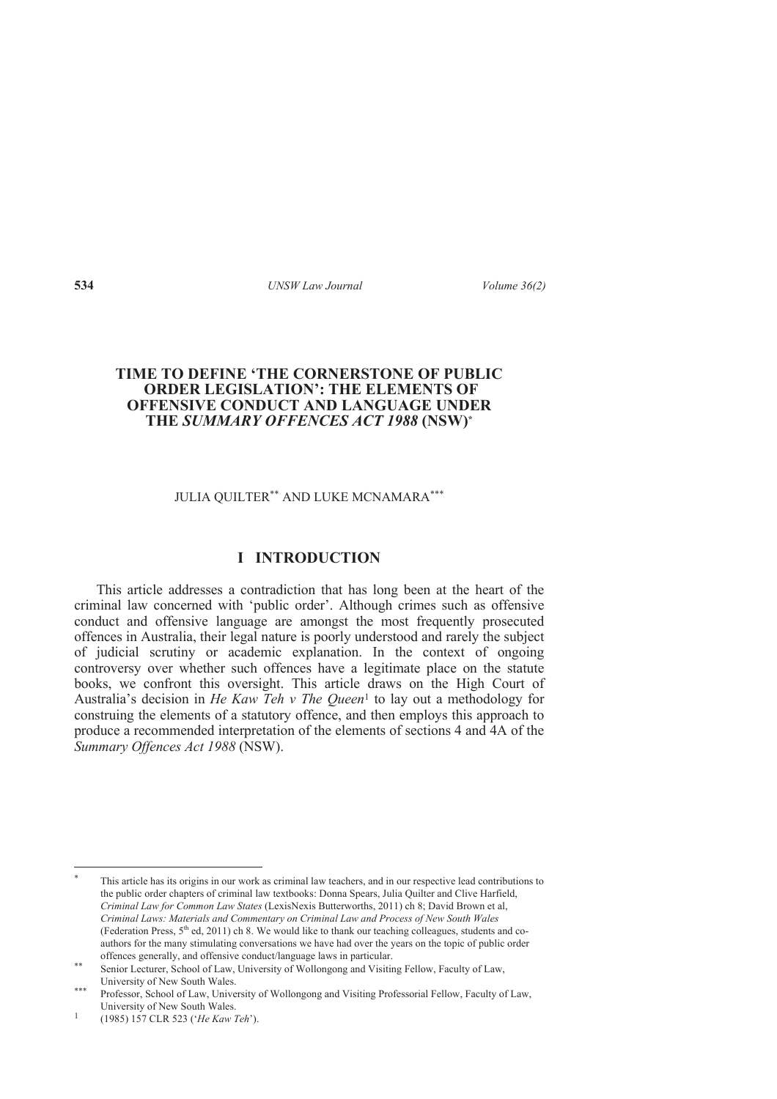## **TIME TO DEFINE 'THE CORNERSTONE OF PUBLIC ORDER LEGISLATION': THE ELEMENTS OF OFFENSIVE CONDUCT AND LANGUAGE UNDER THE** *SUMMARY OFFENCES ACT 1988* **(NSW)\***

### JULIA QUILTER\*\* AND LUKE MCNAMARA\*\*\*

# **I INTRODUCTION**

This article addresses a contradiction that has long been at the heart of the criminal law concerned with 'public order'. Although crimes such as offensive conduct and offensive language are amongst the most frequently prosecuted offences in Australia, their legal nature is poorly understood and rarely the subject of judicial scrutiny or academic explanation. In the context of ongoing controversy over whether such offences have a legitimate place on the statute books, we confront this oversight. This article draws on the High Court of Australia's decision in *He Kaw Teh v The Queen*<sup>1</sup> to lay out a methodology for construing the elements of a statutory offence, and then employs this approach to produce a recommended interpretation of the elements of sections 4 and 4A of the *Summary Offences Act 1988* (NSW).

-

<sup>\*</sup> This article has its origins in our work as criminal law teachers, and in our respective lead contributions to the public order chapters of criminal law textbooks: Donna Spears, Julia Quilter and Clive Harfield, *Criminal Law for Common Law States* (LexisNexis Butterworths, 2011) ch 8; David Brown et al, *Criminal Laws: Materials and Commentary on Criminal Law and Process of New South Wales*  (Federation Press,  $5<sup>th</sup>$  ed, 2011) ch 8. We would like to thank our teaching colleagues, students and coauthors for the many stimulating conversations we have had over the years on the topic of public order offences generally, and offensive conduct/language laws in particular.

<sup>\*\*</sup> Senior Lecturer, School of Law, University of Wollongong and Visiting Fellow, Faculty of Law, University of New South Wales.

<sup>\*\*\*</sup> Professor, School of Law, University of Wollongong and Visiting Professorial Fellow, Faculty of Law, University of New South Wales.

<sup>1</sup> (1985) 157 CLR 523 ('*He Kaw Teh*').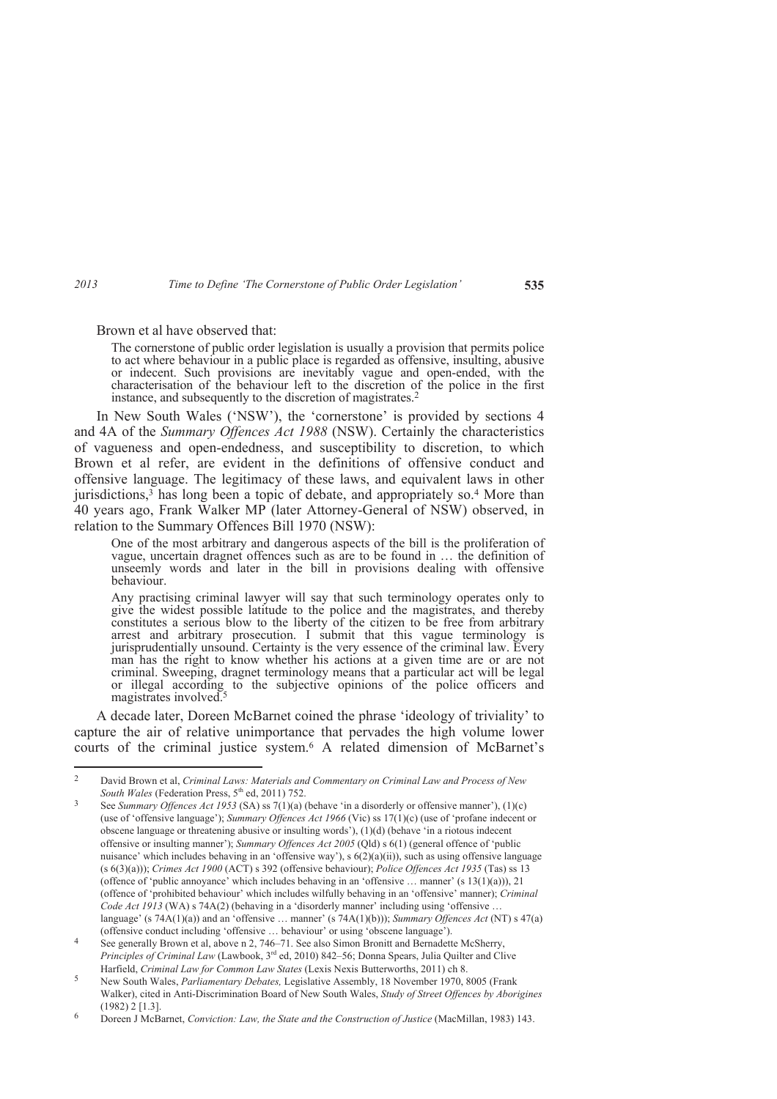Brown et al have observed that:

The cornerstone of public order legislation is usually a provision that permits police to act where behaviour in a public place is regarded as offensive, insulting, abusive or indecent. Such provisions are inevitably vague and open-ended, with the characterisation of the behaviour left to the discretion of the police in the first instance, and subsequently to the discretion of magistrates.<sup>2</sup>

In New South Wales ('NSW'), the 'cornerstone' is provided by sections 4 and 4A of the *Summary Offences Act 1988* (NSW). Certainly the characteristics of vagueness and open-endedness, and susceptibility to discretion, to which Brown et al refer, are evident in the definitions of offensive conduct and offensive language. The legitimacy of these laws, and equivalent laws in other jurisdictions,<sup>3</sup> has long been a topic of debate, and appropriately so.<sup>4</sup> More than 40 years ago, Frank Walker MP (later Attorney-General of NSW) observed, in relation to the Summary Offences Bill 1970 (NSW):

One of the most arbitrary and dangerous aspects of the bill is the proliferation of vague, uncertain dragnet offences such as are to be found in … the definition of unseemly words and later in the bill in provisions dealing with offensive behaviour.

Any practising criminal lawyer will say that such terminology operates only to give the widest possible latitude to the police and the magistrates, and thereby constitutes a serious blow to the liberty of the citizen to be free from arbitrary arrest and arbitrary prosecution. I submit that this vague terminology is jurisprudentially unsound. Certainty is the very essence of the criminal law. Every man has the right to know whether his actions at a given time are or are not criminal. Sweeping, dragnet terminology means that a particular act will be legal or illegal according to the subjective opinions of the police officers and magistrates involved.<sup>5</sup>

A decade later, Doreen McBarnet coined the phrase 'ideology of triviality' to capture the air of relative unimportance that pervades the high volume lower courts of the criminal justice system.<sup>6</sup> A related dimension of McBarnet's

 $\frac{1}{2}$  David Brown et al, *Criminal Laws: Materials and Commentary on Criminal Law and Process of New South Wales* (Federation Press, 5<sup>th</sup> ed. 2011) 752.

<sup>3</sup> See *Summary Offences Act 1953* (SA) ss 7(1)(a) (behave 'in a disorderly or offensive manner'), (1)(c) (use of 'offensive language'); *Summary Offences Act 1966* (Vic) ss 17(1)(c) (use of 'profane indecent or obscene language or threatening abusive or insulting words'), (1)(d) (behave 'in a riotous indecent offensive or insulting manner'); *Summary Offences Act 2005* (Qld) s 6(1) (general offence of 'public nuisance' which includes behaving in an 'offensive way'), s  $6(2)(a)(ii)$ , such as using offensive language (s 6(3)(a))); *Crimes Act 1900* (ACT) s 392 (offensive behaviour); *Police Offences Act 1935* (Tas) ss 13 (offence of 'public annoyance' which includes behaving in an 'offensive ... manner' (s  $13(1)(a)$ )), 21 (offence of 'prohibited behaviour' which includes wilfully behaving in an 'offensive' manner); *Criminal Code Act 1913* (WA) s 74A(2) (behaving in a 'disorderly manner' including using 'offensive … language' (s 74A(1)(a)) and an 'offensive … manner' (s 74A(1)(b))); *Summary Offences Act* (NT) s 47(a) (offensive conduct including 'offensive … behaviour' or using 'obscene language').

<sup>4</sup> See generally Brown et al, above n 2, 746–71. See also Simon Bronitt and Bernadette McSherry, *Principles of Criminal Law* (Lawbook, 3<sup>rd</sup> ed, 2010) 842–56; Donna Spears, Julia Quilter and Clive Harfield, *Criminal Law for Common Law States* (Lexis Nexis Butterworths, 2011) ch 8.

<sup>5</sup> New South Wales, *Parliamentary Debates,* Legislative Assembly, 18 November 1970, 8005 (Frank Walker), cited in Anti-Discrimination Board of New South Wales, *Study of Street Offences by Aborigines*  (1982) 2 [1.3].

<sup>6</sup> Doreen J McBarnet, *Conviction: Law, the State and the Construction of Justice* (MacMillan, 1983) 143.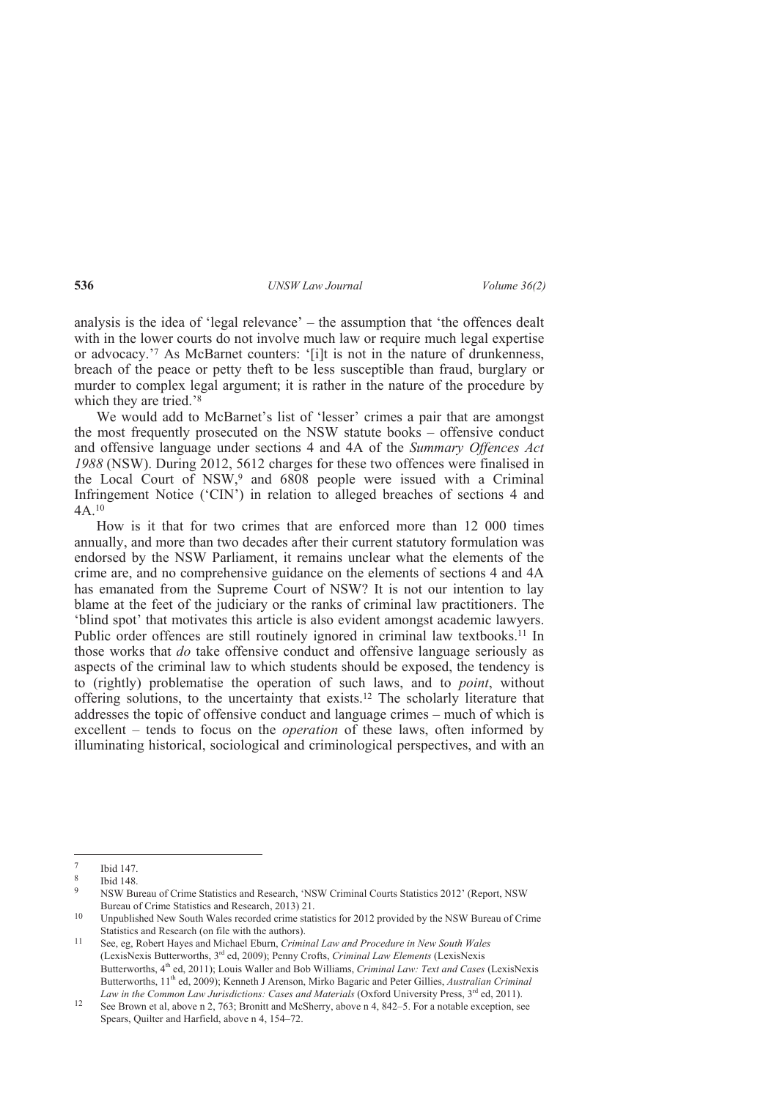analysis is the idea of 'legal relevance' – the assumption that 'the offences dealt with in the lower courts do not involve much law or require much legal expertise or advocacy.'<sup>7</sup> As McBarnet counters: '[i]t is not in the nature of drunkenness, breach of the peace or petty theft to be less susceptible than fraud, burglary or murder to complex legal argument; it is rather in the nature of the procedure by which they are tried.'<sup>8</sup>

We would add to McBarnet's list of 'lesser' crimes a pair that are amongst the most frequently prosecuted on the NSW statute books – offensive conduct and offensive language under sections 4 and 4A of the *Summary Offences Act 1988* (NSW). During 2012, 5612 charges for these two offences were finalised in the Local Court of NSW,<sup>9</sup> and 6808 people were issued with a Criminal Infringement Notice ('CIN') in relation to alleged breaches of sections 4 and  $\Delta\Delta$  10

How is it that for two crimes that are enforced more than 12 000 times annually, and more than two decades after their current statutory formulation was endorsed by the NSW Parliament, it remains unclear what the elements of the crime are, and no comprehensive guidance on the elements of sections 4 and 4A has emanated from the Supreme Court of NSW? It is not our intention to lay blame at the feet of the judiciary or the ranks of criminal law practitioners. The 'blind spot' that motivates this article is also evident amongst academic lawyers. Public order offences are still routinely ignored in criminal law textbooks.<sup>11</sup> In those works that *do* take offensive conduct and offensive language seriously as aspects of the criminal law to which students should be exposed, the tendency is to (rightly) problematise the operation of such laws, and to *point*, without offering solutions, to the uncertainty that exists.12 The scholarly literature that addresses the topic of offensive conduct and language crimes – much of which is excellent – tends to focus on the *operation* of these laws, often informed by illuminating historical, sociological and criminological perspectives, and with an

 $\frac{1}{7}$ Ibid 147.

<sup>8</sup> Ibid 148.

 $\overline{Q}$  NSW Bureau of Crime Statistics and Research, 'NSW Criminal Courts Statistics 2012' (Report, NSW Bureau of Crime Statistics and Research, 2013) 21.

<sup>&</sup>lt;sup>10</sup> Unpublished New South Wales recorded crime statistics for 2012 provided by the NSW Bureau of Crime Statistics and Research (on file with the authors).

<sup>11</sup> See, eg, Robert Hayes and Michael Eburn, *Criminal Law and Procedure in New South Wales*  (LexisNexis Butterworths, 3rd ed, 2009); Penny Crofts, *Criminal Law Elements* (LexisNexis Butterworths, 4th ed, 2011); Louis Waller and Bob Williams, *Criminal Law: Text and Cases* (LexisNexis Butterworths, 11th ed, 2009); Kenneth J Arenson, Mirko Bagaric and Peter Gillies, *Australian Criminal Law in the Common Law Jurisdictions: Cases and Materials (Oxford University Press, 3<sup>rd</sup> ed, 2011).* 

<sup>12</sup> See Brown et al, above n 2, 763; Bronitt and McSherry, above n 4, 842–5. For a notable exception, see Spears, Quilter and Harfield, above n 4, 154–72.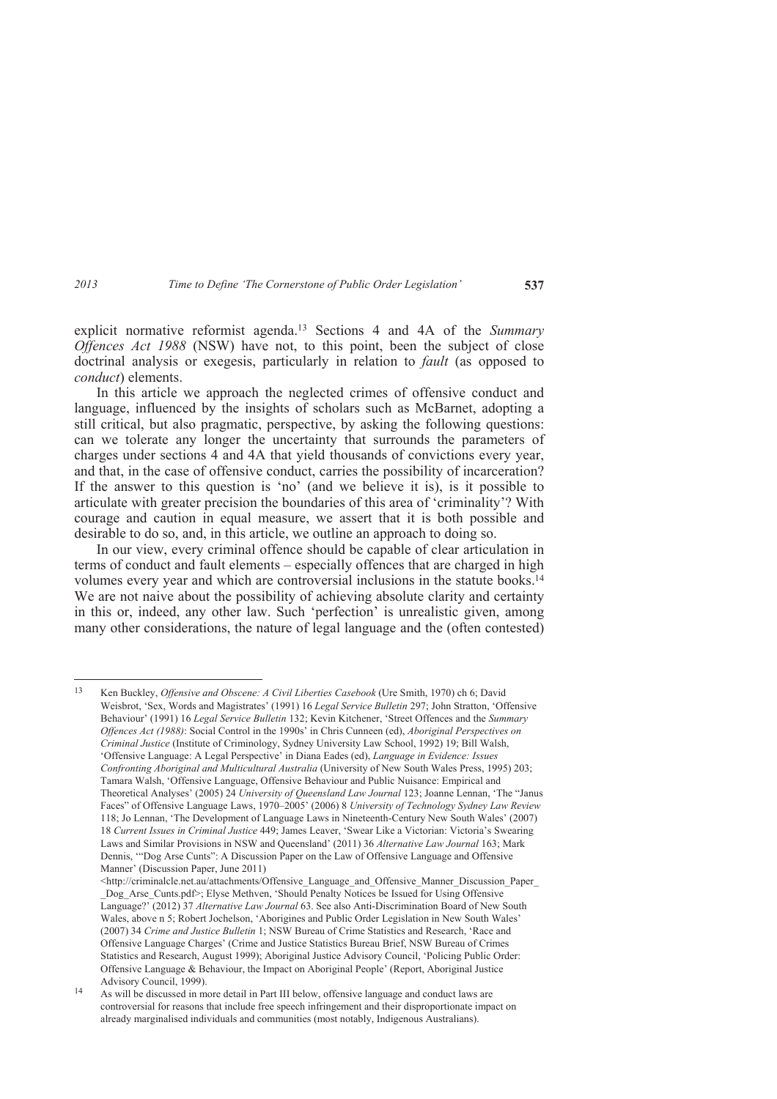explicit normative reformist agenda.13 Sections 4 and 4A of the *Summary Offences Act 1988* (NSW) have not, to this point, been the subject of close doctrinal analysis or exegesis, particularly in relation to *fault* (as opposed to *conduct*) elements.

In this article we approach the neglected crimes of offensive conduct and language, influenced by the insights of scholars such as McBarnet, adopting a still critical, but also pragmatic, perspective, by asking the following questions: can we tolerate any longer the uncertainty that surrounds the parameters of charges under sections 4 and 4A that yield thousands of convictions every year, and that, in the case of offensive conduct, carries the possibility of incarceration? If the answer to this question is 'no' (and we believe it is), is it possible to articulate with greater precision the boundaries of this area of 'criminality'? With courage and caution in equal measure, we assert that it is both possible and desirable to do so, and, in this article, we outline an approach to doing so.

In our view, every criminal offence should be capable of clear articulation in terms of conduct and fault elements – especially offences that are charged in high volumes every year and which are controversial inclusions in the statute books.<sup>14</sup> We are not naive about the possibility of achieving absolute clarity and certainty in this or, indeed, any other law. Such 'perfection' is unrealistic given, among many other considerations, the nature of legal language and the (often contested)

 $13$ <sup>13</sup> Ken Buckley, *Offensive and Obscene: A Civil Liberties Casebook* (Ure Smith, 1970) ch 6; David Weisbrot, 'Sex, Words and Magistrates' (1991) 16 *Legal Service Bulletin* 297; John Stratton, 'Offensive Behaviour' (1991) 16 *Legal Service Bulletin* 132; Kevin Kitchener, 'Street Offences and the *Summary Offences Act (1988)*: Social Control in the 1990s' in Chris Cunneen (ed), *Aboriginal Perspectives on Criminal Justice* (Institute of Criminology, Sydney University Law School, 1992) 19; Bill Walsh, 'Offensive Language: A Legal Perspective' in Diana Eades (ed), *Language in Evidence: Issues Confronting Aboriginal and Multicultural Australia* (University of New South Wales Press, 1995) 203; Tamara Walsh, 'Offensive Language, Offensive Behaviour and Public Nuisance: Empirical and Theoretical Analyses' (2005) 24 *University of Queensland Law Journal* 123; Joanne Lennan, 'The "Janus Faces" of Offensive Language Laws, 1970–2005' (2006) 8 *University of Technology Sydney Law Review* 118; Jo Lennan, 'The Development of Language Laws in Nineteenth-Century New South Wales' (2007) 18 *Current Issues in Criminal Justice* 449; James Leaver, 'Swear Like a Victorian: Victoria's Swearing Laws and Similar Provisions in NSW and Queensland' (2011) 36 *Alternative Law Journal* 163; Mark Dennis, '"Dog Arse Cunts": A Discussion Paper on the Law of Offensive Language and Offensive Manner' (Discussion Paper, June 2011)

 $\lt$ http://criminalcle.net.au/attachments/Offensive\_Language\_and\_Offensive\_Manner\_Discussion\_Paper Dog Arse Cunts.pdf>; Elyse Methven, 'Should Penalty Notices be Issued for Using Offensive Language?' (2012) 37 *Alternative Law Journal* 63. See also Anti-Discrimination Board of New South Wales, above n 5; Robert Jochelson, 'Aborigines and Public Order Legislation in New South Wales' (2007) 34 *Crime and Justice Bulletin* 1; NSW Bureau of Crime Statistics and Research, 'Race and Offensive Language Charges' (Crime and Justice Statistics Bureau Brief, NSW Bureau of Crimes Statistics and Research, August 1999); Aboriginal Justice Advisory Council, 'Policing Public Order: Offensive Language & Behaviour, the Impact on Aboriginal People' (Report, Aboriginal Justice Advisory Council, 1999).

<sup>14</sup> As will be discussed in more detail in Part III below, offensive language and conduct laws are controversial for reasons that include free speech infringement and their disproportionate impact on already marginalised individuals and communities (most notably, Indigenous Australians).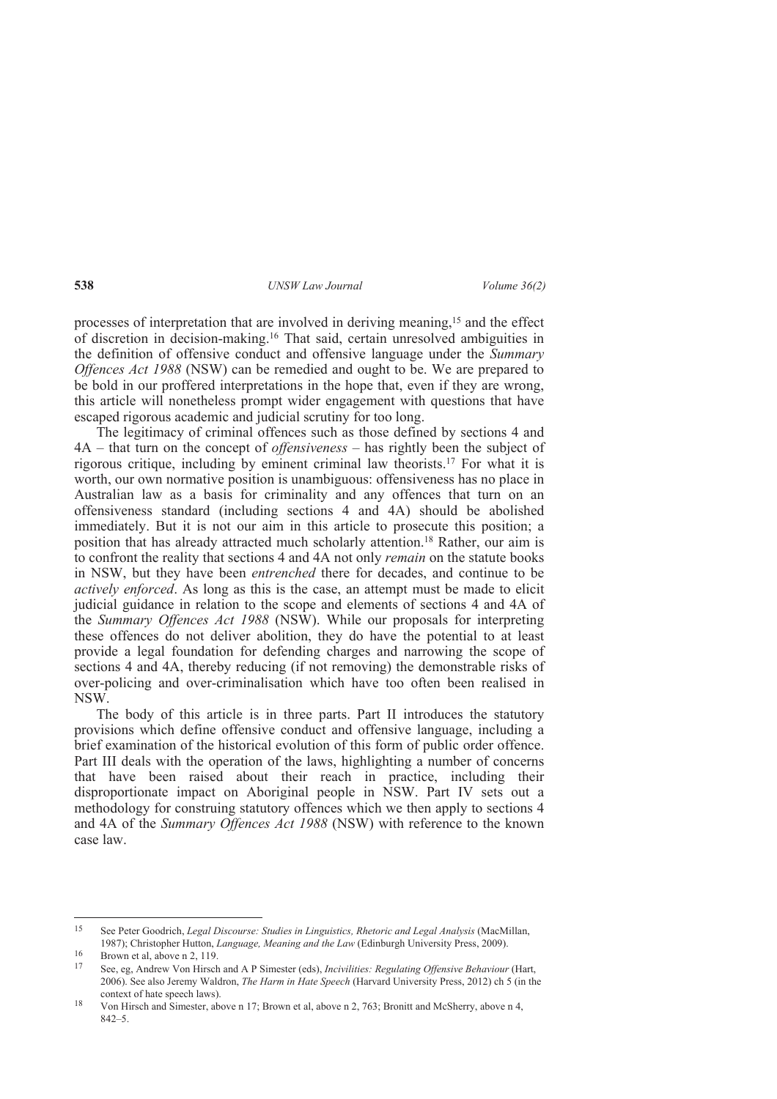processes of interpretation that are involved in deriving meaning,15 and the effect of discretion in decision-making.16 That said, certain unresolved ambiguities in the definition of offensive conduct and offensive language under the *Summary Offences Act 1988* (NSW) can be remedied and ought to be. We are prepared to be bold in our proffered interpretations in the hope that, even if they are wrong, this article will nonetheless prompt wider engagement with questions that have escaped rigorous academic and judicial scrutiny for too long.

The legitimacy of criminal offences such as those defined by sections 4 and 4A – that turn on the concept of *offensiveness* – has rightly been the subject of rigorous critique, including by eminent criminal law theorists.17 For what it is worth, our own normative position is unambiguous: offensiveness has no place in Australian law as a basis for criminality and any offences that turn on an offensiveness standard (including sections 4 and 4A) should be abolished immediately. But it is not our aim in this article to prosecute this position; a position that has already attracted much scholarly attention.18 Rather, our aim is to confront the reality that sections 4 and 4A not only *remain* on the statute books in NSW, but they have been *entrenched* there for decades, and continue to be *actively enforced*. As long as this is the case, an attempt must be made to elicit judicial guidance in relation to the scope and elements of sections 4 and 4A of the *Summary Offences Act 1988* (NSW). While our proposals for interpreting these offences do not deliver abolition, they do have the potential to at least provide a legal foundation for defending charges and narrowing the scope of sections 4 and 4A, thereby reducing (if not removing) the demonstrable risks of over-policing and over-criminalisation which have too often been realised in NSW.

The body of this article is in three parts. Part II introduces the statutory provisions which define offensive conduct and offensive language, including a brief examination of the historical evolution of this form of public order offence. Part III deals with the operation of the laws, highlighting a number of concerns that have been raised about their reach in practice, including their disproportionate impact on Aboriginal people in NSW. Part IV sets out a methodology for construing statutory offences which we then apply to sections 4 and 4A of the *Summary Offences Act 1988* (NSW) with reference to the known case law.

<sup>15</sup> <sup>15</sup> See Peter Goodrich, *Legal Discourse: Studies in Linguistics, Rhetoric and Legal Analysis* (MacMillan, 1987); Christopher Hutton, *Language, Meaning and the Law* (Edinburgh University Press, 2009).

 $\frac{16}{17}$  Brown et al, above n 2, 119.

<sup>17</sup> See, eg, Andrew Von Hirsch and A P Simester (eds), *Incivilities: Regulating Offensive Behaviour* (Hart, 2006). See also Jeremy Waldron, *The Harm in Hate Speech* (Harvard University Press, 2012) ch 5 (in the context of hate speech laws).

<sup>18</sup> Von Hirsch and Simester, above n 17; Brown et al, above n 2, 763; Bronitt and McSherry, above n 4, 842–5.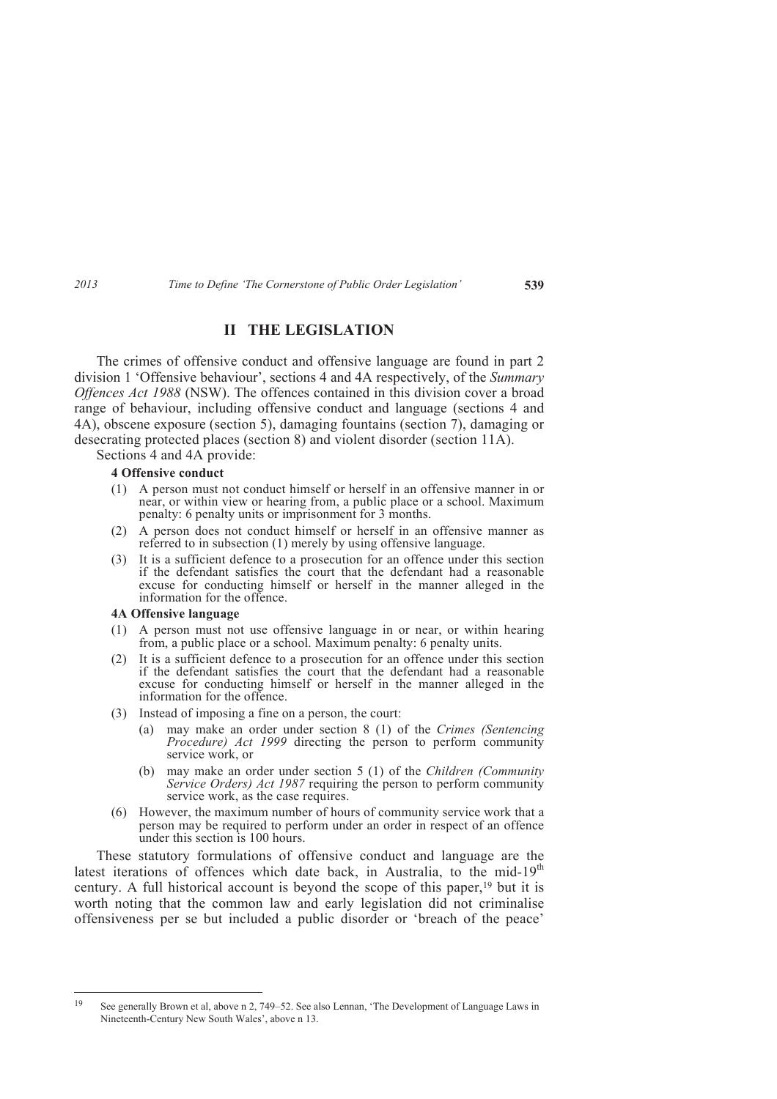# **II THE LEGISLATION**

The crimes of offensive conduct and offensive language are found in part 2 division 1 'Offensive behaviour', sections 4 and 4A respectively, of the *Summary Offences Act 1988* (NSW). The offences contained in this division cover a broad range of behaviour, including offensive conduct and language (sections 4 and 4A), obscene exposure (section 5), damaging fountains (section 7), damaging or desecrating protected places (section 8) and violent disorder (section 11A).

Sections 4 and 4A provide:

### **4 Offensive conduct**

- (1) A person must not conduct himself or herself in an offensive manner in or near, or within view or hearing from, a public place or a school. Maximum penalty: 6 penalty units or imprisonment for 3 months.
- (2) A person does not conduct himself or herself in an offensive manner as referred to in subsection (1) merely by using offensive language.
- (3) It is a sufficient defence to a prosecution for an offence under this section if the defendant satisfies the court that the defendant had a reasonable excuse for conducting himself or herself in the manner alleged in the information for the offence.

#### **4A Offensive language**

- (1) A person must not use offensive language in or near, or within hearing from, a public place or a school. Maximum penalty: 6 penalty units.
- (2) It is a sufficient defence to a prosecution for an offence under this section if the defendant satisfies the court that the defendant had a reasonable excuse for conducting himself or herself in the manner alleged in the information for the offence.
- (3) Instead of imposing a fine on a person, the court:
	- (a) may make an order under section 8 (1) of the *Crimes (Sentencing Procedure) Act 1999* directing the person to perform community service work, or
	- (b) may make an order under section 5 (1) of the *Children (Community Service Orders) Act 1987* requiring the person to perform community service work, as the case requires.
- (6) However, the maximum number of hours of community service work that a person may be required to perform under an order in respect of an offence under this section is 100 hours.

These statutory formulations of offensive conduct and language are the latest iterations of offences which date back, in Australia, to the mid-19<sup>th</sup> century. A full historical account is beyond the scope of this paper,<sup>19</sup> but it is worth noting that the common law and early legislation did not criminalise offensiveness per se but included a public disorder or 'breach of the peace'

<sup>19</sup> <sup>19</sup> See generally Brown et al, above n 2, 749–52. See also Lennan, 'The Development of Language Laws in Nineteenth-Century New South Wales', above n 13.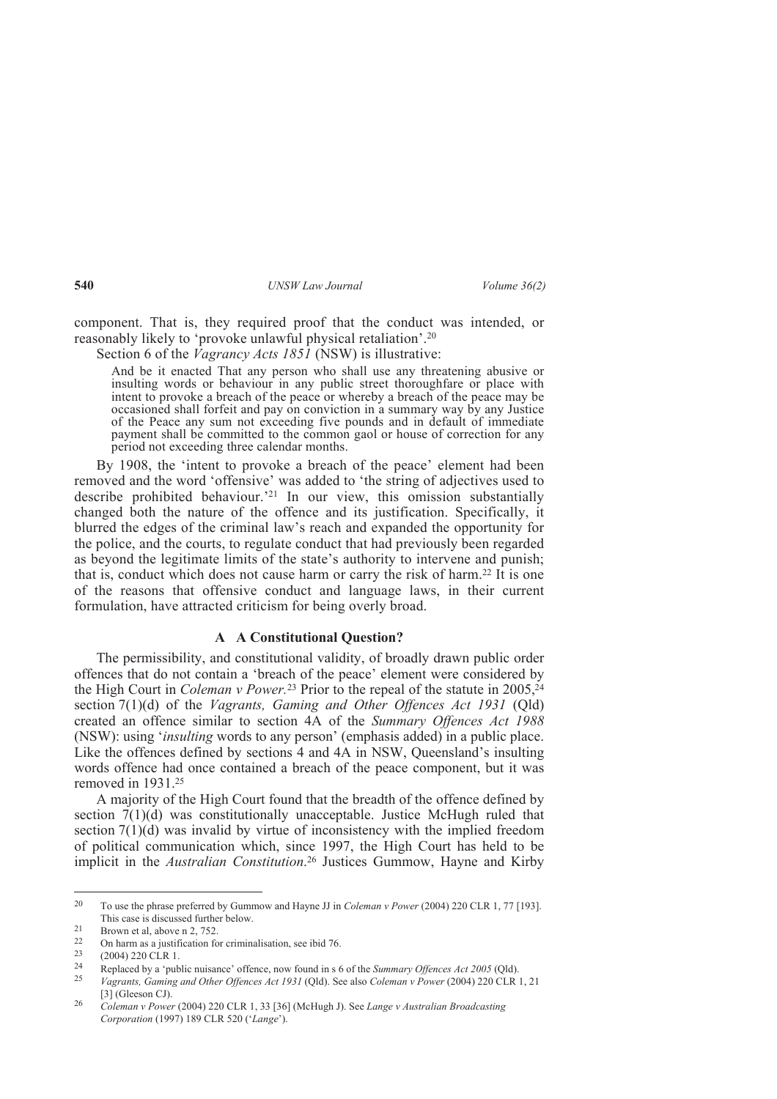component. That is, they required proof that the conduct was intended, or reasonably likely to 'provoke unlawful physical retaliation'.<sup>20</sup>

Section 6 of the *Vagrancy Acts 1851* (NSW) is illustrative:

And be it enacted That any person who shall use any threatening abusive or insulting words or behaviour in any public street thoroughfare or place with intent to provoke a breach of the peace or whereby a breach of the peace may be occasioned shall forfeit and pay on conviction in a summary way by any Justice of the Peace any sum not exceeding five pounds and in default of immediate payment shall be committed to the common gaol or house of correction for any period not exceeding three calendar months.

By 1908, the 'intent to provoke a breach of the peace' element had been removed and the word 'offensive' was added to 'the string of adjectives used to describe prohibited behaviour.'21 In our view, this omission substantially changed both the nature of the offence and its justification. Specifically, it blurred the edges of the criminal law's reach and expanded the opportunity for the police, and the courts, to regulate conduct that had previously been regarded as beyond the legitimate limits of the state's authority to intervene and punish; that is, conduct which does not cause harm or carry the risk of harm.22 It is one of the reasons that offensive conduct and language laws, in their current formulation, have attracted criticism for being overly broad.

### **A A Constitutional Question?**

The permissibility, and constitutional validity, of broadly drawn public order offences that do not contain a 'breach of the peace' element were considered by the High Court in *Coleman v Power*.<sup>23</sup> Prior to the repeal of the statute in 2005,<sup>24</sup> section 7(1)(d) of the *Vagrants, Gaming and Other Offences Act 1931* (Qld) created an offence similar to section 4A of the *Summary Offences Act 1988*  (NSW): using '*insulting* words to any person' (emphasis added) in a public place. Like the offences defined by sections 4 and 4A in NSW, Queensland's insulting words offence had once contained a breach of the peace component, but it was removed in 1931.<sup>25</sup>

A majority of the High Court found that the breadth of the offence defined by section 7(1)(d) was constitutionally unacceptable. Justice McHugh ruled that section  $7(1)(d)$  was invalid by virtue of inconsistency with the implied freedom of political communication which, since 1997, the High Court has held to be implicit in the *Australian Constitution*. <sup>26</sup> Justices Gummow, Hayne and Kirby

<sup>20</sup> <sup>20</sup> To use the phrase preferred by Gummow and Hayne JJ in *Coleman v Power* (2004) 220 CLR 1, 77 [193]. This case is discussed further below.

<sup>&</sup>lt;sup>21</sup> Brown et al, above n 2, 752.<br><sup>22</sup> On harm as a justification for

<sup>22</sup> On harm as a justification for criminalisation, see ibid 76.

 $^{23}$  (2004) 220 CLR 1.

<sup>24</sup> Replaced by a 'public nuisance' offence, now found in s 6 of the *Summary Offences Act 2005* (Qld).

<sup>25</sup> *Vagrants, Gaming and Other Offences Act 1931* (Qld). See also *Coleman v Power* (2004) 220 CLR 1, 21 [3] (Gleeson CJ).

<sup>26</sup> *Coleman v Power* (2004) 220 CLR 1, 33 [36] (McHugh J). See *Lange v Australian Broadcasting Corporation* (1997) 189 CLR 520 ('*Lange*').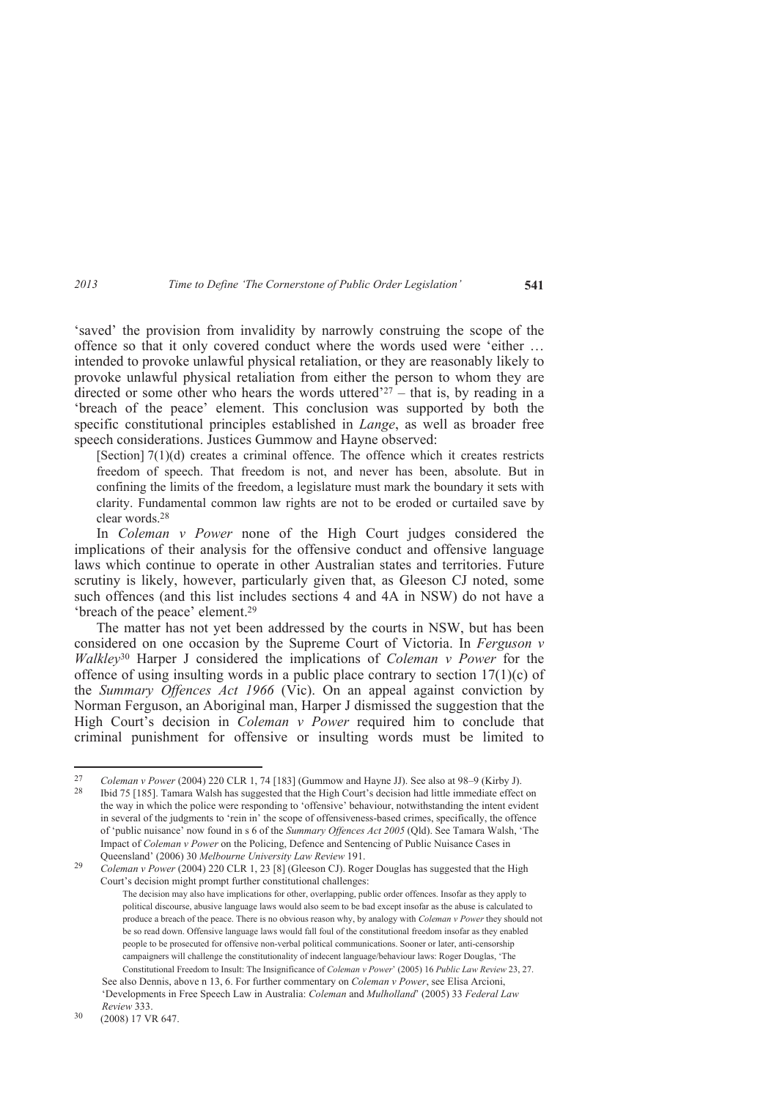'saved' the provision from invalidity by narrowly construing the scope of the offence so that it only covered conduct where the words used were 'either … intended to provoke unlawful physical retaliation, or they are reasonably likely to provoke unlawful physical retaliation from either the person to whom they are directed or some other who hears the words uttered<sup> $27$ </sup> – that is, by reading in a 'breach of the peace' element. This conclusion was supported by both the specific constitutional principles established in *Lange*, as well as broader free speech considerations. Justices Gummow and Hayne observed:

[Section] 7(1)(d) creates a criminal offence. The offence which it creates restricts freedom of speech. That freedom is not, and never has been, absolute. But in confining the limits of the freedom, a legislature must mark the boundary it sets with clarity. Fundamental common law rights are not to be eroded or curtailed save by clear words<sup>28</sup>

In *Coleman v Power* none of the High Court judges considered the implications of their analysis for the offensive conduct and offensive language laws which continue to operate in other Australian states and territories. Future scrutiny is likely, however, particularly given that, as Gleeson CJ noted, some such offences (and this list includes sections 4 and 4A in NSW) do not have a 'breach of the peace' element.<sup>29</sup>

The matter has not yet been addressed by the courts in NSW, but has been considered on one occasion by the Supreme Court of Victoria. In *Ferguson v Walkley*<sup>30</sup> Harper J considered the implications of *Coleman v Power* for the offence of using insulting words in a public place contrary to section  $17(1)(c)$  of the *Summary Offences Act 1966* (Vic). On an appeal against conviction by Norman Ferguson, an Aboriginal man, Harper J dismissed the suggestion that the High Court's decision in *Coleman v Power* required him to conclude that criminal punishment for offensive or insulting words must be limited to

 $\overline{a}$ 

<sup>27</sup> *Coleman v Power* (2004) 220 CLR 1, 74 [183] (Gummow and Hayne JJ). See also at 98–9 (Kirby J).

Ibid 75 [185]. Tamara Walsh has suggested that the High Court's decision had little immediate effect on the way in which the police were responding to 'offensive' behaviour, notwithstanding the intent evident in several of the judgments to 'rein in' the scope of offensiveness-based crimes, specifically, the offence of 'public nuisance' now found in s 6 of the *Summary Offences Act 2005* (Qld). See Tamara Walsh, 'The Impact of *Coleman v Power* on the Policing, Defence and Sentencing of Public Nuisance Cases in Queensland' (2006) 30 *Melbourne University Law Review* 191.

<sup>29</sup> *Coleman v Power* (2004) 220 CLR 1, 23 [8] (Gleeson CJ). Roger Douglas has suggested that the High Court's decision might prompt further constitutional challenges:

The decision may also have implications for other, overlapping, public order offences. Insofar as they apply to political discourse, abusive language laws would also seem to be bad except insofar as the abuse is calculated to produce a breach of the peace. There is no obvious reason why, by analogy with *Coleman v Power* they should not be so read down. Offensive language laws would fall foul of the constitutional freedom insofar as they enabled people to be prosecuted for offensive non-verbal political communications. Sooner or later, anti-censorship campaigners will challenge the constitutionality of indecent language/behaviour laws: Roger Douglas, 'The Constitutional Freedom to Insult: The Insignificance of *Coleman v Power*' (2005) 16 *Public Law Review* 23, 27. See also Dennis, above n 13, 6. For further commentary on *Coleman v Power*, see Elisa Arcioni,

<sup>&#</sup>x27;Developments in Free Speech Law in Australia: *Coleman* and *Mulholland*' (2005) 33 *Federal Law Review* 333.

<sup>30</sup> (2008) 17 VR 647.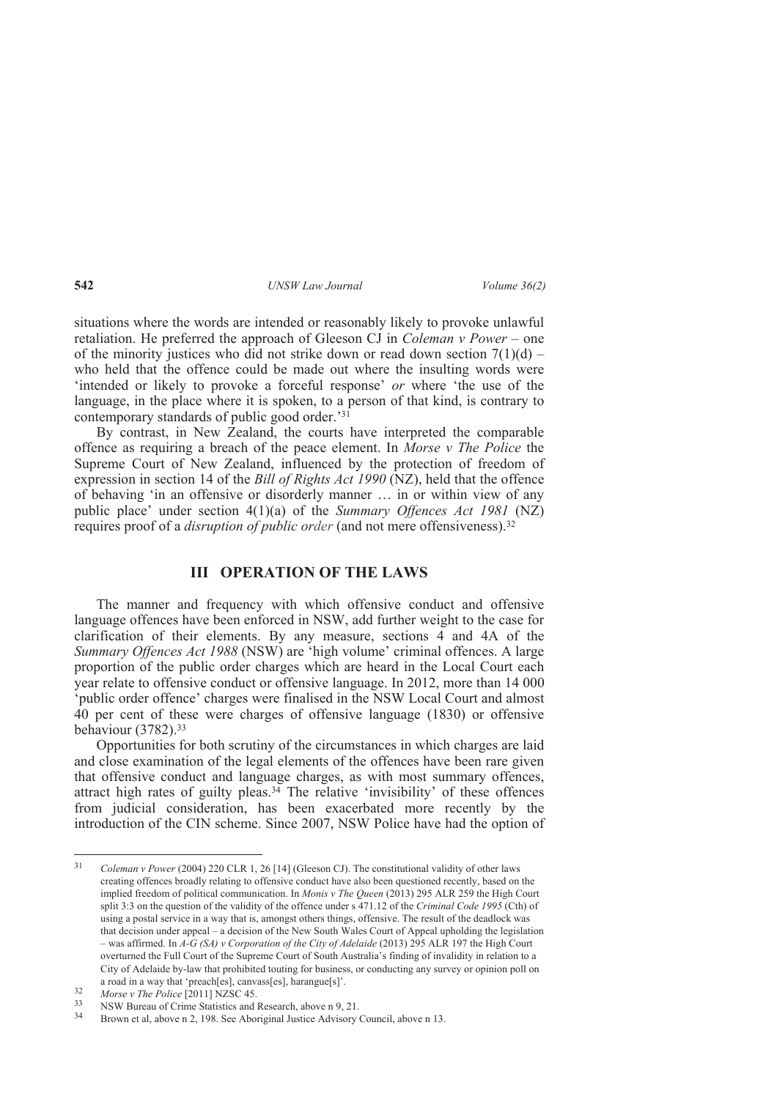situations where the words are intended or reasonably likely to provoke unlawful retaliation. He preferred the approach of Gleeson CJ in *Coleman v Power* – one of the minority justices who did not strike down or read down section  $7(1)(d)$  – who held that the offence could be made out where the insulting words were 'intended or likely to provoke a forceful response' *or* where 'the use of the language, in the place where it is spoken, to a person of that kind, is contrary to contemporary standards of public good order.'<sup>31</sup>

By contrast, in New Zealand, the courts have interpreted the comparable offence as requiring a breach of the peace element. In *Morse v The Police* the Supreme Court of New Zealand, influenced by the protection of freedom of expression in section 14 of the *Bill of Rights Act 1990* (NZ), held that the offence of behaving 'in an offensive or disorderly manner … in or within view of any public place' under section 4(1)(a) of the *Summary Offences Act 1981* (NZ) requires proof of a *disruption of public order* (and not mere offensiveness).<sup>32</sup>

## **III OPERATION OF THE LAWS**

The manner and frequency with which offensive conduct and offensive language offences have been enforced in NSW, add further weight to the case for clarification of their elements. By any measure, sections 4 and 4A of the *Summary Offences Act 1988* (NSW) are 'high volume' criminal offences. A large proportion of the public order charges which are heard in the Local Court each year relate to offensive conduct or offensive language. In 2012, more than 14 000 'public order offence' charges were finalised in the NSW Local Court and almost 40 per cent of these were charges of offensive language (1830) or offensive behaviour (3782).<sup>33</sup>

Opportunities for both scrutiny of the circumstances in which charges are laid and close examination of the legal elements of the offences have been rare given that offensive conduct and language charges, as with most summary offences, attract high rates of guilty pleas.34 The relative 'invisibility' of these offences from judicial consideration, has been exacerbated more recently by the introduction of the CIN scheme. Since 2007, NSW Police have had the option of

 $\frac{1}{31}$  *Coleman v Power* (2004) 220 CLR 1, 26 [14] (Gleeson CJ). The constitutional validity of other laws creating offences broadly relating to offensive conduct have also been questioned recently, based on the implied freedom of political communication. In *Monis v The Queen* (2013) 295 ALR 259 the High Court split 3:3 on the question of the validity of the offence under s 471.12 of the *Criminal Code 1995* (Cth) of using a postal service in a way that is, amongst others things, offensive. The result of the deadlock was that decision under appeal – a decision of the New South Wales Court of Appeal upholding the legislation – was affirmed. In *A-G (SA) v Corporation of the City of Adelaide* (2013) 295 ALR 197 the High Court overturned the Full Court of the Supreme Court of South Australia's finding of invalidity in relation to a City of Adelaide by-law that prohibited touting for business, or conducting any survey or opinion poll on a road in a way that 'preach[es], canvass[es], harangue[s]'.

<sup>32</sup> *Morse v The Police* [2011] NZSC 45.

<sup>&</sup>lt;sup>33</sup> NSW Bureau of Crime Statistics and Research, above n 9, 21.<br><sup>34</sup> Rrown et al. above n 2, 198. See Aboriginal Justice Advisory

Brown et al, above n 2, 198. See Aboriginal Justice Advisory Council, above n 13.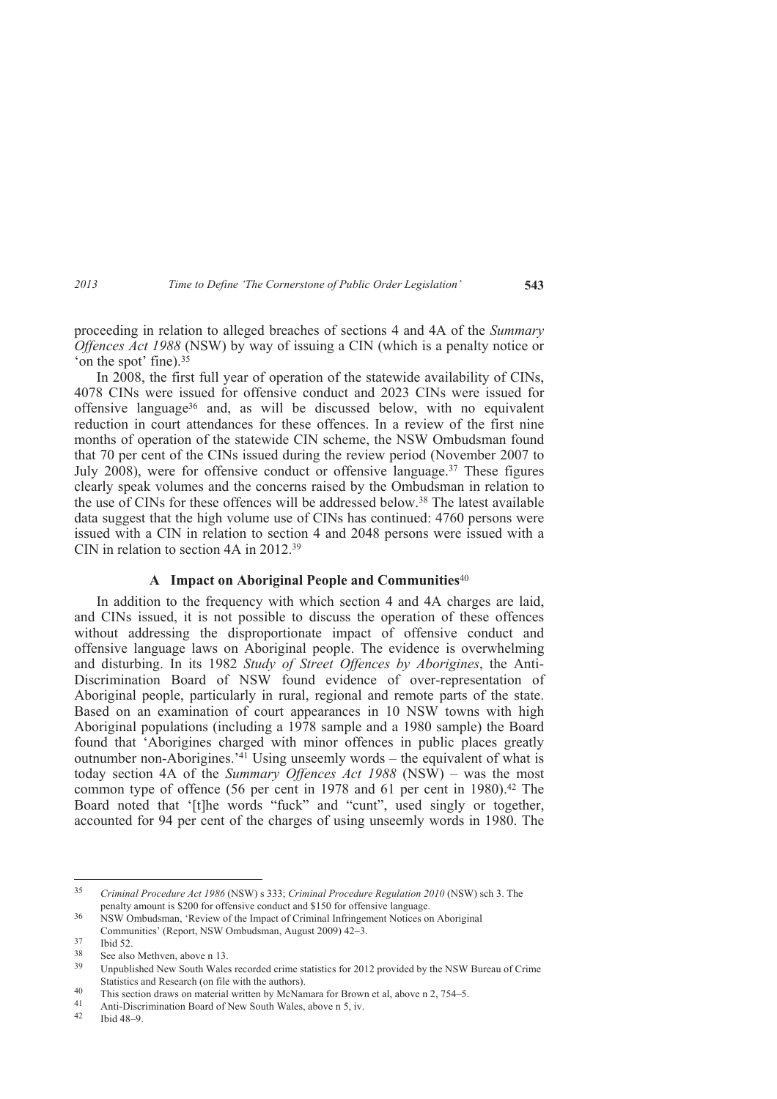proceeding in relation to alleged breaches of sections 4 and 4A of the *Summary Offences Act 1988* (NSW) by way of issuing a CIN (which is a penalty notice or 'on the spot' fine).<sup>35</sup>

In 2008, the first full year of operation of the statewide availability of CINs, 4078 CINs were issued for offensive conduct and 2023 CINs were issued for offensive language36 and, as will be discussed below, with no equivalent reduction in court attendances for these offences. In a review of the first nine months of operation of the statewide CIN scheme, the NSW Ombudsman found that 70 per cent of the CINs issued during the review period (November 2007 to July 2008), were for offensive conduct or offensive language.37 These figures clearly speak volumes and the concerns raised by the Ombudsman in relation to the use of CINs for these offences will be addressed below.38 The latest available data suggest that the high volume use of CINs has continued: 4760 persons were issued with a CIN in relation to section 4 and 2048 persons were issued with a CIN in relation to section 4A in 2012.<sup>39</sup>

### **A Impact on Aboriginal People and Communities**<sup>40</sup>

In addition to the frequency with which section 4 and 4A charges are laid, and CINs issued, it is not possible to discuss the operation of these offences without addressing the disproportionate impact of offensive conduct and offensive language laws on Aboriginal people. The evidence is overwhelming and disturbing. In its 1982 *Study of Street Offences by Aborigines*, the Anti-Discrimination Board of NSW found evidence of over-representation of Aboriginal people, particularly in rural, regional and remote parts of the state. Based on an examination of court appearances in 10 NSW towns with high Aboriginal populations (including a 1978 sample and a 1980 sample) the Board found that 'Aborigines charged with minor offences in public places greatly outnumber non-Aborigines.'41 Using unseemly words – the equivalent of what is today section 4A of the *Summary Offences Act 1988* (NSW) – was the most common type of offence (56 per cent in 1978 and 61 per cent in 1980).<sup>42</sup> The Board noted that '[t]he words "fuck" and "cunt", used singly or together, accounted for 94 per cent of the charges of using unseemly words in 1980. The

 $\overline{a}$ 

<sup>35</sup> *Criminal Procedure Act 1986* (NSW) s 333; *Criminal Procedure Regulation 2010* (NSW) sch 3. The penalty amount is \$200 for offensive conduct and \$150 for offensive language.

<sup>36</sup> NSW Ombudsman, 'Review of the Impact of Criminal Infringement Notices on Aboriginal Communities' (Report, NSW Ombudsman, August 2009) 42–3.

 $\frac{37}{38}$  Ibid 52.

 $38$  See also Methven, above n 13.<br> $39$  Unusual Mars Saxth Walas

Unpublished New South Wales recorded crime statistics for 2012 provided by the NSW Bureau of Crime Statistics and Research (on file with the authors).

<sup>40</sup> This section draws on material written by McNamara for Brown et al, above n 2, 754–5.<br>41 April Discrimination Board of Naw South Wales, above n 5, iv

<sup>41</sup> Anti-Discrimination Board of New South Wales, above n 5, iv.<br>42 Hotel  $\alpha$ 

<sup>42</sup> Ibid 48–9.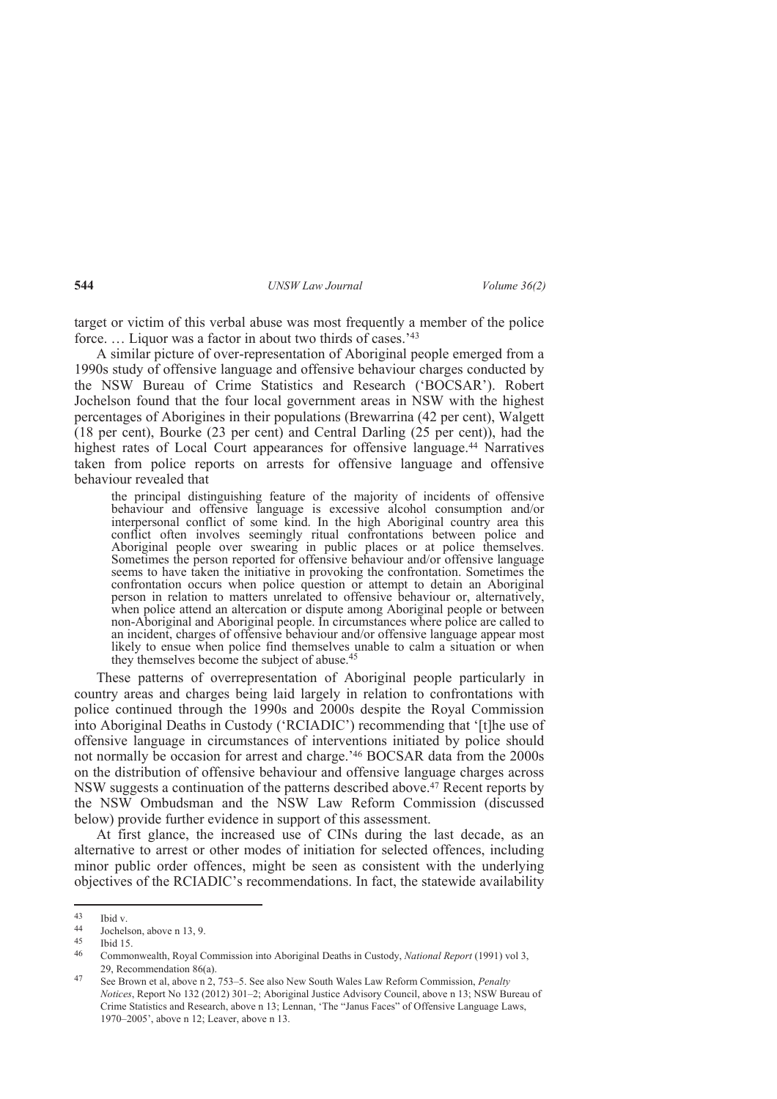target or victim of this verbal abuse was most frequently a member of the police force. … Liquor was a factor in about two thirds of cases.'<sup>43</sup>

A similar picture of over-representation of Aboriginal people emerged from a 1990s study of offensive language and offensive behaviour charges conducted by the NSW Bureau of Crime Statistics and Research ('BOCSAR'). Robert Jochelson found that the four local government areas in NSW with the highest percentages of Aborigines in their populations (Brewarrina (42 per cent), Walgett (18 per cent), Bourke (23 per cent) and Central Darling (25 per cent)), had the highest rates of Local Court appearances for offensive language.<sup>44</sup> Narratives taken from police reports on arrests for offensive language and offensive behaviour revealed that

the principal distinguishing feature of the majority of incidents of offensive behaviour and offensive language is excessive alcohol consumption and/or interpersonal conflict of some kind. In the high Aboriginal country area this conflict often involves seemingly ritual confrontations between police and Aboriginal people over swearing in public places or at police themselves. Sometimes the person reported for offensive behaviour and/or offensive language seems to have taken the initiative in provoking the confrontation. Sometimes the confrontation occurs when police question or attempt to detain an Aboriginal person in relation to matters unrelated to offensive behaviour or, alternatively, when police attend an altercation or dispute among Aboriginal people or between non-Aboriginal and Aboriginal people. In circumstances where police are called to an incident, charges of offensive behaviour and/or offensive language appear most likely to ensue when police find themselves unable to calm a situation or when they themselves become the subject of abuse.<sup>45</sup>

These patterns of overrepresentation of Aboriginal people particularly in country areas and charges being laid largely in relation to confrontations with police continued through the 1990s and 2000s despite the Royal Commission into Aboriginal Deaths in Custody ('RCIADIC') recommending that '[t]he use of offensive language in circumstances of interventions initiated by police should not normally be occasion for arrest and charge.'46 BOCSAR data from the 2000s on the distribution of offensive behaviour and offensive language charges across NSW suggests a continuation of the patterns described above.47 Recent reports by the NSW Ombudsman and the NSW Law Reform Commission (discussed below) provide further evidence in support of this assessment.

At first glance, the increased use of CINs during the last decade, as an alternative to arrest or other modes of initiation for selected offences, including minor public order offences, might be seen as consistent with the underlying objectives of the RCIADIC's recommendations. In fact, the statewide availability

 $43$  $\begin{array}{cc} 43 & \text{Ibid v.} \\ 44 & \text{Iochel} \end{array}$ 

 $\frac{44}{45}$  Jochelson, above n 13, 9.

 $\frac{45}{46}$  Ibid 15.

<sup>46</sup> Commonwealth, Royal Commission into Aboriginal Deaths in Custody, *National Report* (1991) vol 3, 29, Recommendation 86(a).

<sup>47</sup> See Brown et al, above n 2, 753–5. See also New South Wales Law Reform Commission, *Penalty Notices*, Report No 132 (2012) 301–2; Aboriginal Justice Advisory Council, above n 13; NSW Bureau of Crime Statistics and Research, above n 13; Lennan, 'The "Janus Faces" of Offensive Language Laws, 1970–2005', above n 12; Leaver, above n 13.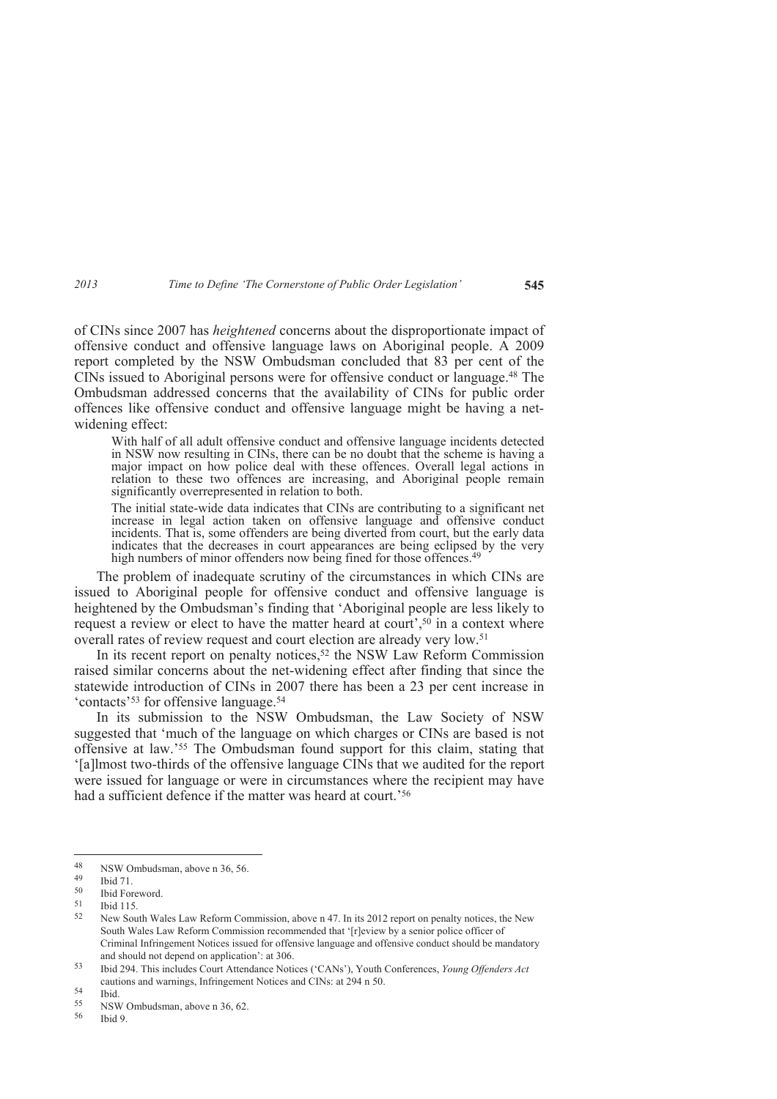of CINs since 2007 has *heightened* concerns about the disproportionate impact of offensive conduct and offensive language laws on Aboriginal people. A 2009 report completed by the NSW Ombudsman concluded that 83 per cent of the CINs issued to Aboriginal persons were for offensive conduct or language.48 The Ombudsman addressed concerns that the availability of CINs for public order offences like offensive conduct and offensive language might be having a netwidening effect:

With half of all adult offensive conduct and offensive language incidents detected in NSW now resulting in CINs, there can be no doubt that the scheme is having a major impact on how police deal with these offences. Overall legal actions in relation to these two offences are increasing, and Aboriginal people remain significantly overrepresented in relation to both.

The initial state-wide data indicates that CINs are contributing to a significant net increase in legal action taken on offensive language and offensive conduct incidents. That is, some offenders are being diverted from court, but the early data indicates that the decreases in court appearances are being eclipsed by the very high numbers of minor offenders now being fined for those offences.<sup>49</sup>

The problem of inadequate scrutiny of the circumstances in which CINs are issued to Aboriginal people for offensive conduct and offensive language is heightened by the Ombudsman's finding that 'Aboriginal people are less likely to request a review or elect to have the matter heard at court',<sup>50</sup> in a context where overall rates of review request and court election are already very low.<sup>51</sup>

In its recent report on penalty notices,<sup>52</sup> the NSW Law Reform Commission raised similar concerns about the net-widening effect after finding that since the statewide introduction of CINs in 2007 there has been a 23 per cent increase in 'contacts'53 for offensive language.<sup>54</sup>

In its submission to the NSW Ombudsman, the Law Society of NSW suggested that 'much of the language on which charges or CINs are based is not offensive at law.'55 The Ombudsman found support for this claim, stating that '[a]lmost two-thirds of the offensive language CINs that we audited for the report were issued for language or were in circumstances where the recipient may have had a sufficient defence if the matter was heard at court.<sup>356</sup>

<sup>48</sup>  $\frac{48}{49}$  NSW Ombudsman, above n 36, 56.

 $^{49}$  Ibid 71.

 $50$  Ibid Foreword.<br> $51$  Ibid 115

 $\frac{51}{52}$  Ibid 115.

<sup>52</sup> New South Wales Law Reform Commission, above n 47. In its 2012 report on penalty notices, the New South Wales Law Reform Commission recommended that '[r]eview by a senior police officer of Criminal Infringement Notices issued for offensive language and offensive conduct should be mandatory and should not depend on application': at 306.

<sup>53</sup> Ibid 294. This includes Court Attendance Notices ('CANs'), Youth Conferences, *Young Offenders Act* cautions and warnings, Infringement Notices and CINs: at 294 n 50.

 $rac{54}{55}$  Ibid.

 $^{55}$  NSW Ombudsman, above n 36, 62.

Ibid 9.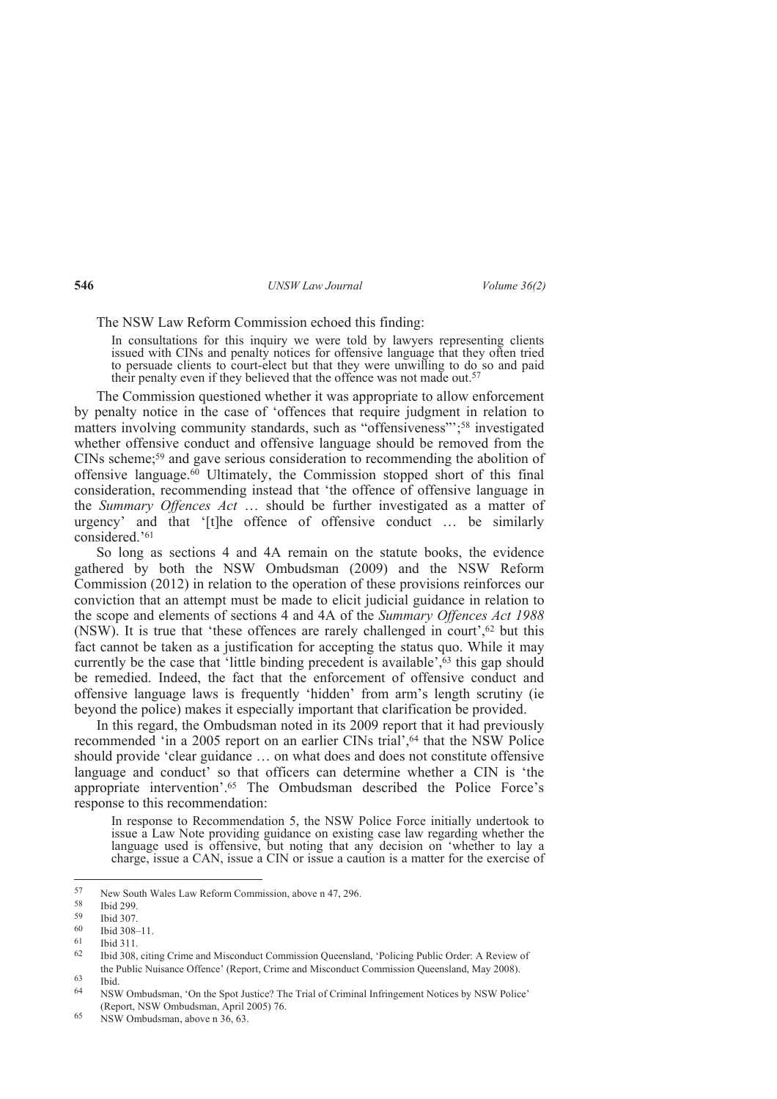#### The NSW Law Reform Commission echoed this finding:

In consultations for this inquiry we were told by lawyers representing clients issued with CINs and penalty notices for offensive language that they often tried to persuade clients to court-elect but that they were unwilling to do so and paid to personal exercise to be the offence was not made out.<sup>57</sup>

The Commission questioned whether it was appropriate to allow enforcement by penalty notice in the case of 'offences that require judgment in relation to matters involving community standards, such as "offensiveness"';58 investigated whether offensive conduct and offensive language should be removed from the CINs scheme;59 and gave serious consideration to recommending the abolition of offensive language.60 Ultimately, the Commission stopped short of this final consideration, recommending instead that 'the offence of offensive language in the *Summary Offences Act* … should be further investigated as a matter of urgency' and that '[t]he offence of offensive conduct … be similarly considered.'<sup>61</sup>

So long as sections 4 and 4A remain on the statute books, the evidence gathered by both the NSW Ombudsman (2009) and the NSW Reform Commission (2012) in relation to the operation of these provisions reinforces our conviction that an attempt must be made to elicit judicial guidance in relation to the scope and elements of sections 4 and 4A of the *Summary Offences Act 1988*  (NSW). It is true that 'these offences are rarely challenged in court', $62$  but this fact cannot be taken as a justification for accepting the status quo. While it may currently be the case that 'little binding precedent is available', $63$  this gap should be remedied. Indeed, the fact that the enforcement of offensive conduct and offensive language laws is frequently 'hidden' from arm's length scrutiny (ie beyond the police) makes it especially important that clarification be provided.

In this regard, the Ombudsman noted in its 2009 report that it had previously recommended 'in a 2005 report on an earlier CINs trial',<sup>64</sup> that the NSW Police should provide 'clear guidance … on what does and does not constitute offensive language and conduct' so that officers can determine whether a CIN is 'the appropriate intervention'.65 The Ombudsman described the Police Force's response to this recommendation:

In response to Recommendation 5, the NSW Police Force initially undertook to issue a Law Note providing guidance on existing case law regarding whether the language used is offensive, but noting that any decision on 'whether to lay a charge, issue a CAN, issue a CIN or issue a caution is a matter for the exercise of

 $\overline{a}$ 

<sup>57</sup> New South Wales Law Reform Commission, above n 47, 296.<br>58 Hotel 200

 $\frac{58}{59}$  Ibid 299.

 $\frac{59}{60}$  Ibid 307.

 $^{60}$  Ibid 308-11.

 $^{61}$  Ibid 311.

<sup>62</sup> Ibid 308, citing Crime and Misconduct Commission Queensland, 'Policing Public Order: A Review of the Public Nuisance Offence' (Report, Crime and Misconduct Commission Queensland, May 2008).

 $\begin{array}{cc}\n 63 \\
64\n \end{array}$  Ibid.

<sup>64</sup> NSW Ombudsman, 'On the Spot Justice? The Trial of Criminal Infringement Notices by NSW Police' (Report, NSW Ombudsman, April 2005) 76.

<sup>65</sup> NSW Ombudsman, above n 36, 63.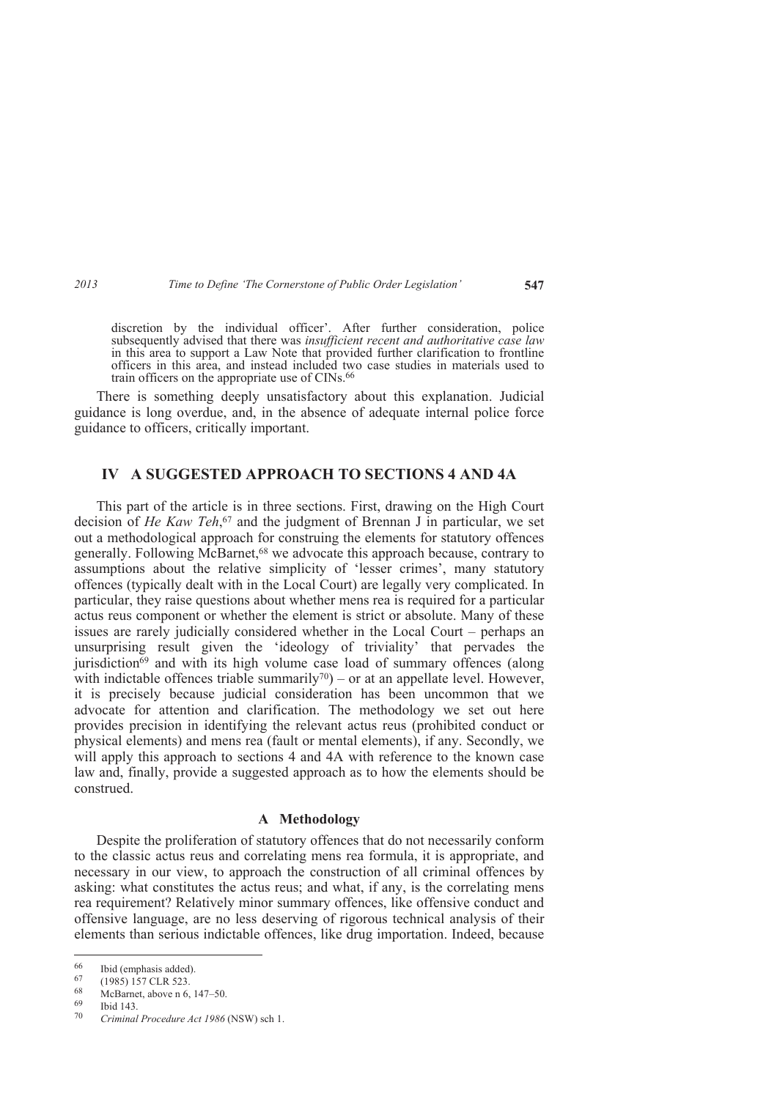discretion by the individual officer'. After further consideration, police subsequently advised that there was *insufficient recent and authoritative case law* in this area to support a Law Note that provided further clarification to frontline officers in this area, and instead included two case studies in materials used to train officers on the appropriate use of CINs.<sup>66</sup>

There is something deeply unsatisfactory about this explanation. Judicial guidance is long overdue, and, in the absence of adequate internal police force guidance to officers, critically important.

# **IV A SUGGESTED APPROACH TO SECTIONS 4 AND 4A**

This part of the article is in three sections. First, drawing on the High Court decision of *He Kaw Teh*, <sup>67</sup> and the judgment of Brennan J in particular, we set out a methodological approach for construing the elements for statutory offences generally. Following McBarnet,<sup>68</sup> we advocate this approach because, contrary to assumptions about the relative simplicity of 'lesser crimes', many statutory offences (typically dealt with in the Local Court) are legally very complicated. In particular, they raise questions about whether mens rea is required for a particular actus reus component or whether the element is strict or absolute. Many of these issues are rarely judicially considered whether in the Local Court – perhaps an unsurprising result given the 'ideology of triviality' that pervades the jurisdiction69 and with its high volume case load of summary offences (along with indictable offences triable summarily<sup>70</sup> $)$  – or at an appellate level. However, it is precisely because judicial consideration has been uncommon that we advocate for attention and clarification. The methodology we set out here provides precision in identifying the relevant actus reus (prohibited conduct or physical elements) and mens rea (fault or mental elements), if any. Secondly, we will apply this approach to sections 4 and 4A with reference to the known case law and, finally, provide a suggested approach as to how the elements should be construed.

### **A Methodology**

Despite the proliferation of statutory offences that do not necessarily conform to the classic actus reus and correlating mens rea formula, it is appropriate, and necessary in our view, to approach the construction of all criminal offences by asking: what constitutes the actus reus; and what, if any, is the correlating mens rea requirement? Relatively minor summary offences, like offensive conduct and offensive language, are no less deserving of rigorous technical analysis of their elements than serious indictable offences, like drug importation. Indeed, because

<sup>66</sup>  $^{66}$  Ibid (emphasis added).<br> $^{67}$  (1985) 157 CLR 523

<sup>67 (1985) 157</sup> CLR 523.<br>68 McBarnet above n 6

<sup>68</sup> McBarnet, above n 6, 147–50.<br>69 Ibid 143

Ibid 143.

<sup>70</sup> *Criminal Procedure Act 1986* (NSW) sch 1.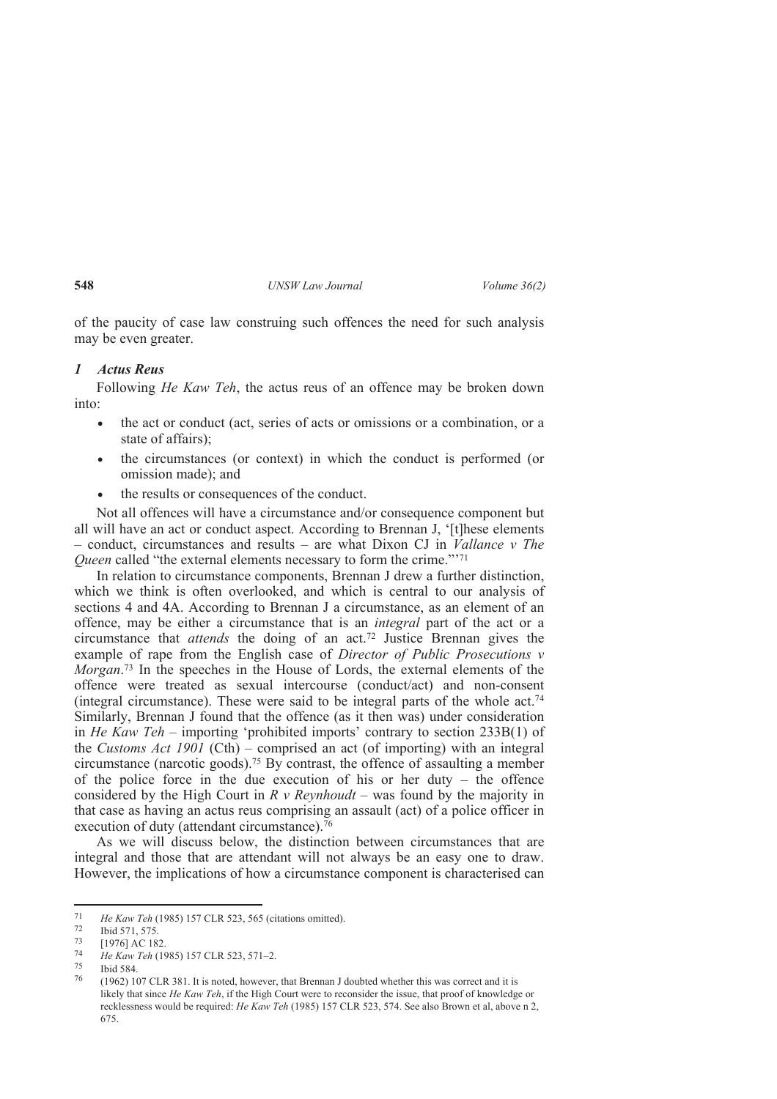of the paucity of case law construing such offences the need for such analysis may be even greater.

### *1 Actus Reus*

Following *He Kaw Teh*, the actus reus of an offence may be broken down into:

- the act or conduct (act, series of acts or omissions or a combination, or a state of affairs);
- the circumstances (or context) in which the conduct is performed (or omission made); and
- the results or consequences of the conduct.

Not all offences will have a circumstance and/or consequence component but all will have an act or conduct aspect. According to Brennan J, '[t]hese elements – conduct, circumstances and results – are what Dixon CJ in *Vallance v The Queen* called "the external elements necessary to form the crime."<sup>771</sup>

In relation to circumstance components, Brennan J drew a further distinction, which we think is often overlooked, and which is central to our analysis of sections 4 and 4A. According to Brennan J a circumstance, as an element of an offence, may be either a circumstance that is an *integral* part of the act or a circumstance that *attends* the doing of an act.72 Justice Brennan gives the example of rape from the English case of *Director of Public Prosecutions v Morgan*. <sup>73</sup> In the speeches in the House of Lords, the external elements of the offence were treated as sexual intercourse (conduct/act) and non-consent (integral circumstance). These were said to be integral parts of the whole act.<sup>74</sup> Similarly, Brennan J found that the offence (as it then was) under consideration in *He Kaw Teh* – importing 'prohibited imports' contrary to section 233B(1) of the *Customs Act 1901* (Cth) – comprised an act (of importing) with an integral circumstance (narcotic goods).75 By contrast, the offence of assaulting a member of the police force in the due execution of his or her duty – the offence considered by the High Court in  $R \, v$  Reynhoudt – was found by the majority in that case as having an actus reus comprising an assault (act) of a police officer in execution of duty (attendant circumstance).<sup>76</sup>

As we will discuss below, the distinction between circumstances that are integral and those that are attendant will not always be an easy one to draw. However, the implications of how a circumstance component is characterised can

 $\frac{1}{71}$ *He Kaw Teh* (1985) 157 CLR 523, 565 (citations omitted).

 $^{72}$  Ibid 571, 575.<br>  $^{73}$  I10761 AC 182

<sup>[1976]</sup> AC 182.

<sup>74</sup> *He Kaw Teh* (1985) 157 CLR 523, 571–2.

 $^{75}$  Ibid 584.

<sup>76</sup> (1962) 107 CLR 381. It is noted, however, that Brennan J doubted whether this was correct and it is likely that since *He Kaw Teh*, if the High Court were to reconsider the issue, that proof of knowledge or recklessness would be required: *He Kaw Teh* (1985) 157 CLR 523, 574. See also Brown et al, above n 2, 675.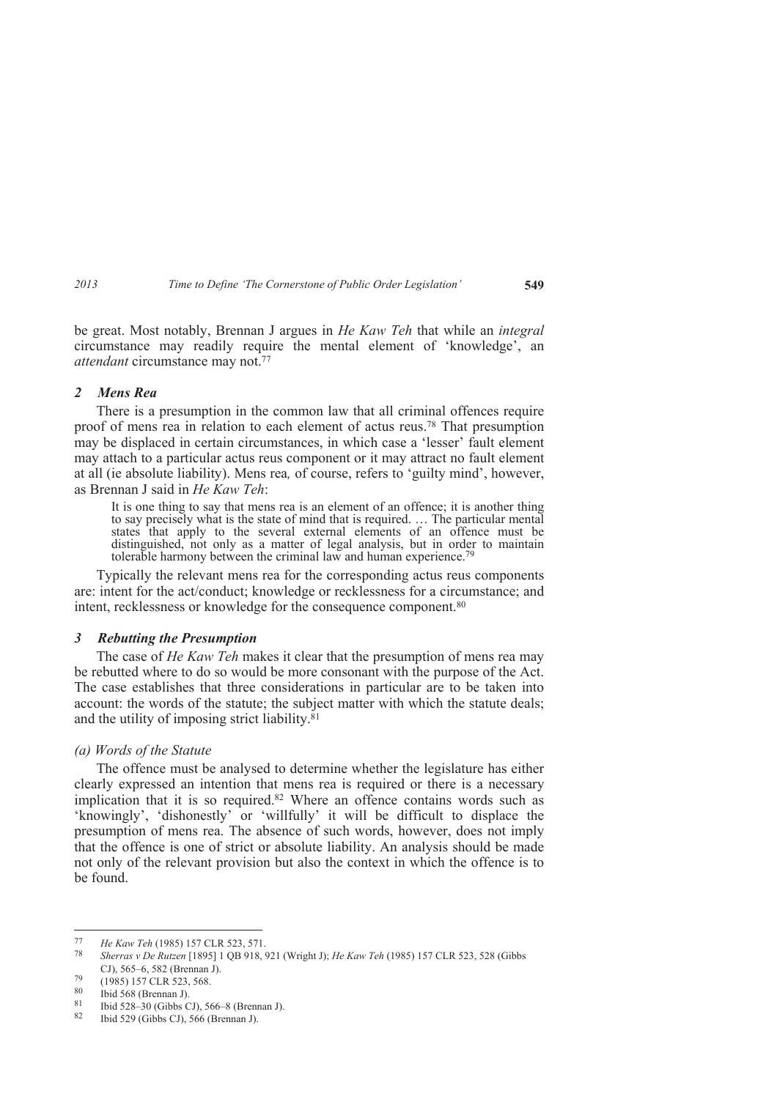be great. Most notably, Brennan J argues in *He Kaw Teh* that while an *integral*  circumstance may readily require the mental element of 'knowledge', an *attendant* circumstance may not.<sup>77</sup>

### *2 Mens Rea*

There is a presumption in the common law that all criminal offences require proof of mens rea in relation to each element of actus reus.78 That presumption may be displaced in certain circumstances, in which case a 'lesser' fault element may attach to a particular actus reus component or it may attract no fault element at all (ie absolute liability). Mens rea*,* of course, refers to 'guilty mind', however, as Brennan J said in *He Kaw Teh*:

It is one thing to say that mens rea is an element of an offence; it is another thing to say precisely what is the state of mind that is required. … The particular mental states that apply to the several external elements of an offence must be distinguished, not only as a matter of legal analysis, but in order to maintain tolerable harmony between the criminal law and human experience.<sup>7</sup>

Typically the relevant mens rea for the corresponding actus reus components are: intent for the act/conduct; knowledge or recklessness for a circumstance; and intent, recklessness or knowledge for the consequence component.<sup>80</sup>

### *3 Rebutting the Presumption*

The case of *He Kaw Teh* makes it clear that the presumption of mens rea may be rebutted where to do so would be more consonant with the purpose of the Act. The case establishes that three considerations in particular are to be taken into account: the words of the statute; the subject matter with which the statute deals; and the utility of imposing strict liability. $81$ 

## *(a) Words of the Statute*

The offence must be analysed to determine whether the legislature has either clearly expressed an intention that mens rea is required or there is a necessary implication that it is so required.<sup>82</sup> Where an offence contains words such as 'knowingly', 'dishonestly' or 'willfully' it will be difficult to displace the presumption of mens rea. The absence of such words, however, does not imply that the offence is one of strict or absolute liability. An analysis should be made not only of the relevant provision but also the context in which the offence is to be found.

-

<sup>77</sup> *He Kaw Teh* (1985) 157 CLR 523, 571.

<sup>78</sup> *Sherras v De Rutzen* [1895] 1 QB 918, 921 (Wright J); *He Kaw Teh* (1985) 157 CLR 523, 528 (Gibbs CJ), 565–6, 582 (Brennan J).

 $^{79}$  (1985) 157 CLR 523, 568.<br>80 Ibid 568 (Brennan I)

 $\frac{80}{81}$  Ibid 568 (Brennan J).

<sup>81</sup> Ibid 528–30 (Gibbs CJ), 566–8 (Brennan J).

Ibid 529 (Gibbs CJ), 566 (Brennan J).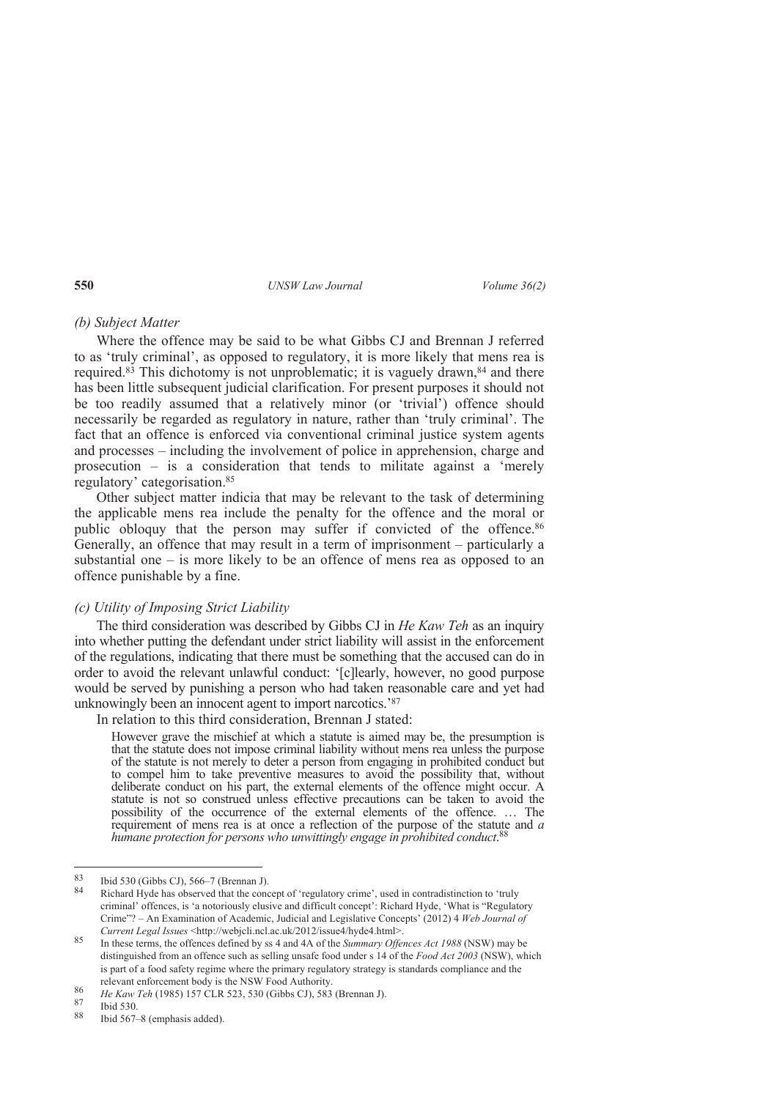### *(b) Subject Matter*

Where the offence may be said to be what Gibbs CJ and Brennan J referred to as 'truly criminal', as opposed to regulatory, it is more likely that mens rea is required.<sup>83</sup> This dichotomy is not unproblematic; it is vaguely drawn,<sup>84</sup> and there has been little subsequent judicial clarification. For present purposes it should not be too readily assumed that a relatively minor (or 'trivial') offence should necessarily be regarded as regulatory in nature, rather than 'truly criminal'. The fact that an offence is enforced via conventional criminal justice system agents and processes – including the involvement of police in apprehension, charge and prosecution – is a consideration that tends to militate against a 'merely regulatory' categorisation.<sup>85</sup>

Other subject matter indicia that may be relevant to the task of determining the applicable mens rea include the penalty for the offence and the moral or public obloquy that the person may suffer if convicted of the offence.<sup>86</sup> Generally, an offence that may result in a term of imprisonment – particularly a substantial one – is more likely to be an offence of mens rea as opposed to an offence punishable by a fine.

## *(c) Utility of Imposing Strict Liability*

The third consideration was described by Gibbs CJ in *He Kaw Teh* as an inquiry into whether putting the defendant under strict liability will assist in the enforcement of the regulations, indicating that there must be something that the accused can do in order to avoid the relevant unlawful conduct: '[c]learly, however, no good purpose would be served by punishing a person who had taken reasonable care and yet had unknowingly been an innocent agent to import narcotics.'<sup>87</sup>

In relation to this third consideration, Brennan J stated:

However grave the mischief at which a statute is aimed may be, the presumption is that the statute does not impose criminal liability without mens rea unless the purpose of the statute is not merely to deter a person from engaging in prohibited conduct but to compel him to take preventive measures to avoid the possibility that, without deliberate conduct on his part, the external elements of the offence might occur. A statute is not so construed unless effective precautions can be taken to avoid the possibility of the occurrence of the external elements of the offence. … The requirement of mens rea is at once a reflection of the purpose of the statute and *a humane protection for persons who unwittingly engage in prohibited conduct*. 88

 $83$  $^{83}$  Ibid 530 (Gibbs CJ), 566–7 (Brennan J).

Richard Hyde has observed that the concept of 'regulatory crime', used in contradistinction to 'truly criminal' offences, is 'a notoriously elusive and difficult concept': Richard Hyde, 'What is "Regulatory Crime"? – An Examination of Academic, Judicial and Legislative Concepts' (2012) 4 *Web Journal of Current Legal Issues* <http://webjcli.ncl.ac.uk/2012/issue4/hyde4.html>.

<sup>85</sup> In these terms, the offences defined by ss 4 and 4A of the *Summary Offences Act 1988* (NSW) may be distinguished from an offence such as selling unsafe food under s 14 of the *Food Act 2003* (NSW), which is part of a food safety regime where the primary regulatory strategy is standards compliance and the relevant enforcement body is the NSW Food Authority.

<sup>86</sup> *He Kaw Teh* (1985) 157 CLR 523, 530 (Gibbs CJ), 583 (Brennan J).

 $\frac{87}{88}$  Ibid 530.

Ibid 567–8 (emphasis added).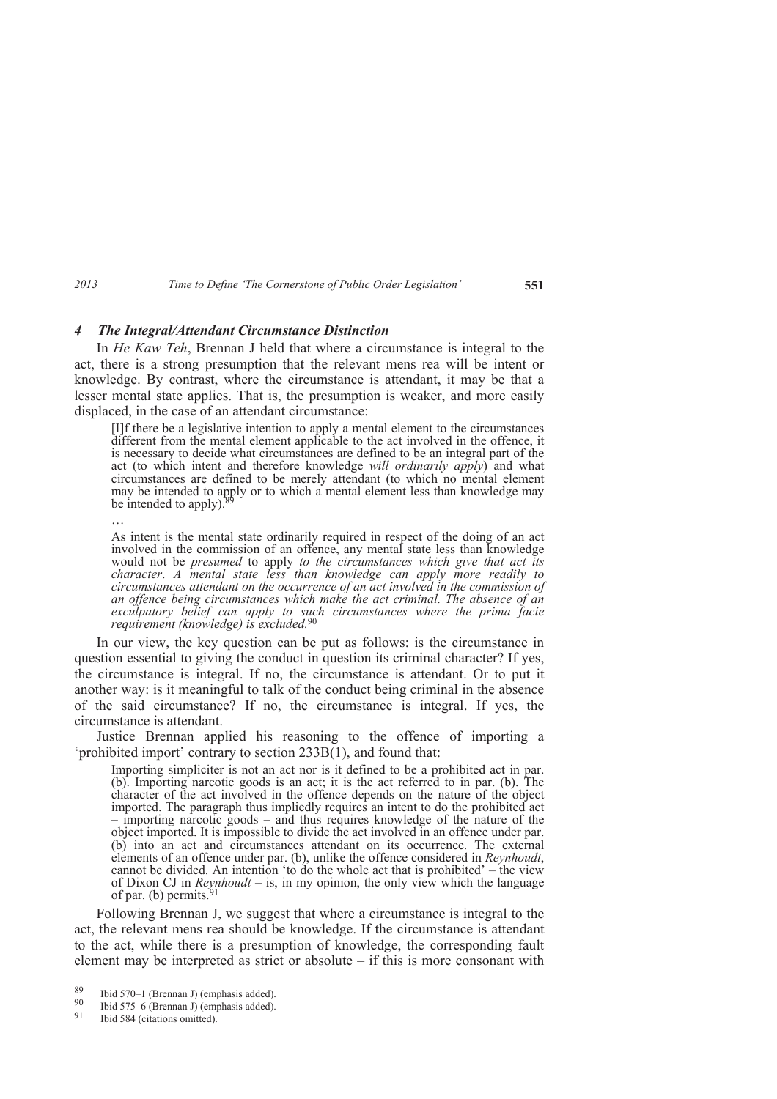### *4 The Integral/Attendant Circumstance Distinction*

In *He Kaw Teh*, Brennan J held that where a circumstance is integral to the act, there is a strong presumption that the relevant mens rea will be intent or knowledge. By contrast, where the circumstance is attendant, it may be that a lesser mental state applies. That is, the presumption is weaker, and more easily displaced, in the case of an attendant circumstance:

[I]f there be a legislative intention to apply a mental element to the circumstances different from the mental element applicable to the act involved in the offence, it is necessary to decide what circumstances are defined to be an integral part of the act (to which intent and therefore knowledge *will ordinarily apply*) and what circumstances are defined to be merely attendant (to which no mental element may be intended to apply or to which a mental element less than knowledge may be intended to apply). $\frac{8}{3}$ 

…

As intent is the mental state ordinarily required in respect of the doing of an act involved in the commission of an offence, any mental state less than knowledge would not be *presumed* to apply *to the circumstances which give that act its character*. *A mental state less than knowledge can apply more readily to circumstances attendant on the occurrence of an act involved in the commission of an offence being circumstances which make the act criminal. The absence of an exculpatory belief can apply to such circumstances where the prima facie requirement (knowledge) is excluded.*<sup>90</sup>

In our view, the key question can be put as follows: is the circumstance in question essential to giving the conduct in question its criminal character? If yes, the circumstance is integral. If no, the circumstance is attendant. Or to put it another way: is it meaningful to talk of the conduct being criminal in the absence of the said circumstance? If no, the circumstance is integral. If yes, the circumstance is attendant.

Justice Brennan applied his reasoning to the offence of importing a 'prohibited import' contrary to section 233B(1), and found that:

Importing simpliciter is not an act nor is it defined to be a prohibited act in par. (b). Importing narcotic goods is an act; it is the act referred to in par. (b). The character of the act involved in the offence depends on the nature of the object imported. The paragraph thus impliedly requires an intent to do the prohibited act – importing narcotic goods – and thus requires knowledge of the nature of the object imported. It is impossible to divide the act involved in an offence under par. (b) into an act and circumstances attendant on its occurrence. The external elements of an offence under par. (b), unlike the offence considered in *Reynhoudt*, cannot be divided. An intention 'to do the whole act that is prohibited' – the view of Dixon CJ in *Reynhoudt* – is, in my opinion, the only view which the language of par. (b) permits. $91$ 

Following Brennan J, we suggest that where a circumstance is integral to the act, the relevant mens rea should be knowledge. If the circumstance is attendant to the act, while there is a presumption of knowledge, the corresponding fault element may be interpreted as strict or absolute – if this is more consonant with

<sup>89</sup> <sup>89</sup> Ibid 570–1 (Brennan J) (emphasis added).<br>90 Ibid 575 6 (Brennan I) (emphasis added).

<sup>&</sup>lt;sup>90</sup> Ibid 575–6 (Brennan J) (emphasis added).<br><sup>91</sup> Ibid 584 (eithing emitted).

Ibid 584 (citations omitted).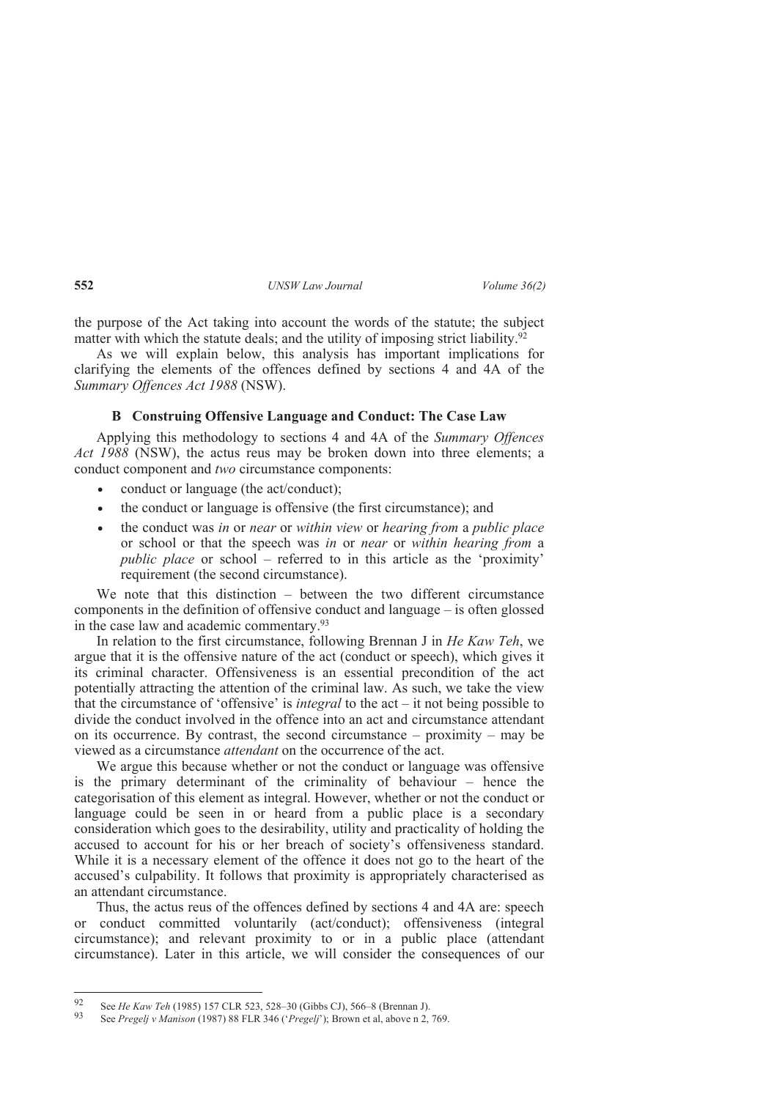the purpose of the Act taking into account the words of the statute; the subject matter with which the statute deals; and the utility of imposing strict liability.<sup>92</sup>

As we will explain below, this analysis has important implications for clarifying the elements of the offences defined by sections 4 and 4A of the *Summary Offences Act 1988* (NSW).

### **B Construing Offensive Language and Conduct: The Case Law**

Applying this methodology to sections 4 and 4A of the *Summary Offences Act 1988* (NSW), the actus reus may be broken down into three elements; a conduct component and *two* circumstance components:

- conduct or language (the act/conduct);
- the conduct or language is offensive (the first circumstance); and
- the conduct was *in* or *near* or *within view* or *hearing from* a *public place* or school or that the speech was *in* or *near* or *within hearing from* a *public place* or school – referred to in this article as the 'proximity' requirement (the second circumstance).

We note that this distinction – between the two different circumstance components in the definition of offensive conduct and language – is often glossed in the case law and academic commentary.<sup>93</sup>

In relation to the first circumstance, following Brennan J in *He Kaw Teh*, we argue that it is the offensive nature of the act (conduct or speech), which gives it its criminal character. Offensiveness is an essential precondition of the act potentially attracting the attention of the criminal law. As such, we take the view that the circumstance of 'offensive' is *integral* to the act – it not being possible to divide the conduct involved in the offence into an act and circumstance attendant on its occurrence. By contrast, the second circumstance – proximity – may be viewed as a circumstance *attendant* on the occurrence of the act.

We argue this because whether or not the conduct or language was offensive is the primary determinant of the criminality of behaviour – hence the categorisation of this element as integral. However, whether or not the conduct or language could be seen in or heard from a public place is a secondary consideration which goes to the desirability, utility and practicality of holding the accused to account for his or her breach of society's offensiveness standard. While it is a necessary element of the offence it does not go to the heart of the accused's culpability. It follows that proximity is appropriately characterised as an attendant circumstance.

Thus, the actus reus of the offences defined by sections 4 and 4A are: speech or conduct committed voluntarily (act/conduct); offensiveness (integral circumstance); and relevant proximity to or in a public place (attendant circumstance). Later in this article, we will consider the consequences of our

<sup>92</sup> <sup>92</sup> See *He Kaw Teh* (1985) 157 CLR 523, 528–30 (Gibbs CJ), 566–8 (Brennan J).

<sup>93</sup> See *Pregelj v Manison* (1987) 88 FLR 346 ('*Pregelj*'); Brown et al, above n 2, 769.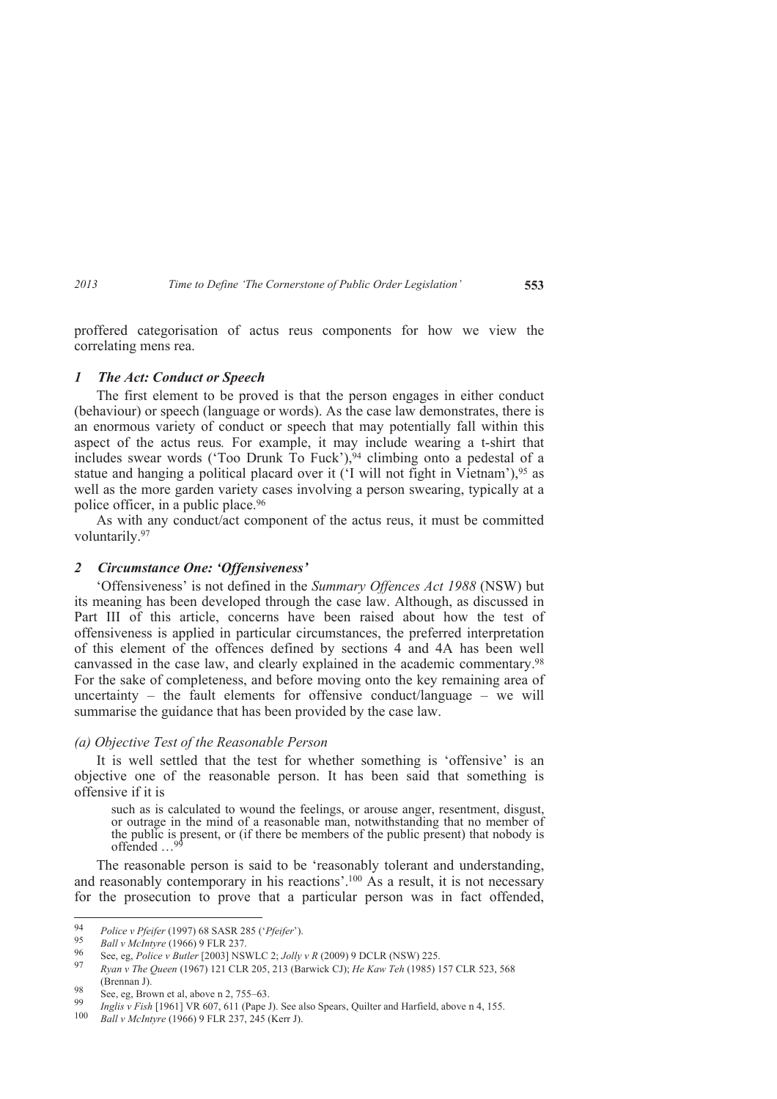proffered categorisation of actus reus components for how we view the correlating mens rea.

#### *1 The Act: Conduct or Speech*

The first element to be proved is that the person engages in either conduct (behaviour) or speech (language or words). As the case law demonstrates, there is an enormous variety of conduct or speech that may potentially fall within this aspect of the actus reus*.* For example, it may include wearing a t-shirt that includes swear words ('Too Drunk To Fuck'),<sup>94</sup> climbing onto a pedestal of a statue and hanging a political placard over it ('I will not fight in Vietnam'),<sup>95</sup> as well as the more garden variety cases involving a person swearing, typically at a police officer, in a public place.<sup>96</sup>

As with any conduct/act component of the actus reus, it must be committed voluntarily.<sup>97</sup>

### *2 Circumstance One: 'Offensiveness'*

'Offensiveness' is not defined in the *Summary Offences Act 1988* (NSW) but its meaning has been developed through the case law. Although, as discussed in Part III of this article, concerns have been raised about how the test of offensiveness is applied in particular circumstances, the preferred interpretation of this element of the offences defined by sections 4 and 4A has been well canvassed in the case law, and clearly explained in the academic commentary.<sup>98</sup> For the sake of completeness, and before moving onto the key remaining area of uncertainty – the fault elements for offensive conduct/language – we will summarise the guidance that has been provided by the case law.

#### *(a) Objective Test of the Reasonable Person*

It is well settled that the test for whether something is 'offensive' is an objective one of the reasonable person. It has been said that something is offensive if it is

such as is calculated to wound the feelings, or arouse anger, resentment, disgust, or outrage in the mind of a reasonable man, notwithstanding that no member of the public is present, or (if there be members of the public present) that nobody is offended ...<sup>9</sup>

The reasonable person is said to be 'reasonably tolerant and understanding, and reasonably contemporary in his reactions'.100 As a result, it is not necessary for the prosecution to prove that a particular person was in fact offended,

 $\frac{1}{94}$ *Police v Pfeifer* (1997) 68 SASR 285 ('*Pfeifer*').

<sup>95</sup> *Ball v McIntyre* (1966) 9 FLR 237.

<sup>96</sup> See, eg, *Police v Butler* [2003] NSWLC 2; *Jolly v R* (2009) 9 DCLR (NSW) 225.

<sup>97</sup> *Ryan v The Queen* (1967) 121 CLR 205, 213 (Barwick CJ); *He Kaw Teh* (1985) 157 CLR 523, 568 (Brennan J).

<sup>98</sup> See, eg, Brown et al, above n 2, 755–63. 99

*Inglis v Fish* [1961] VR 607, 611 (Pape J). See also Spears, Quilter and Harfield, above n 4, 155.

<sup>100</sup> *Ball v McIntyre* (1966) 9 FLR 237, 245 (Kerr J).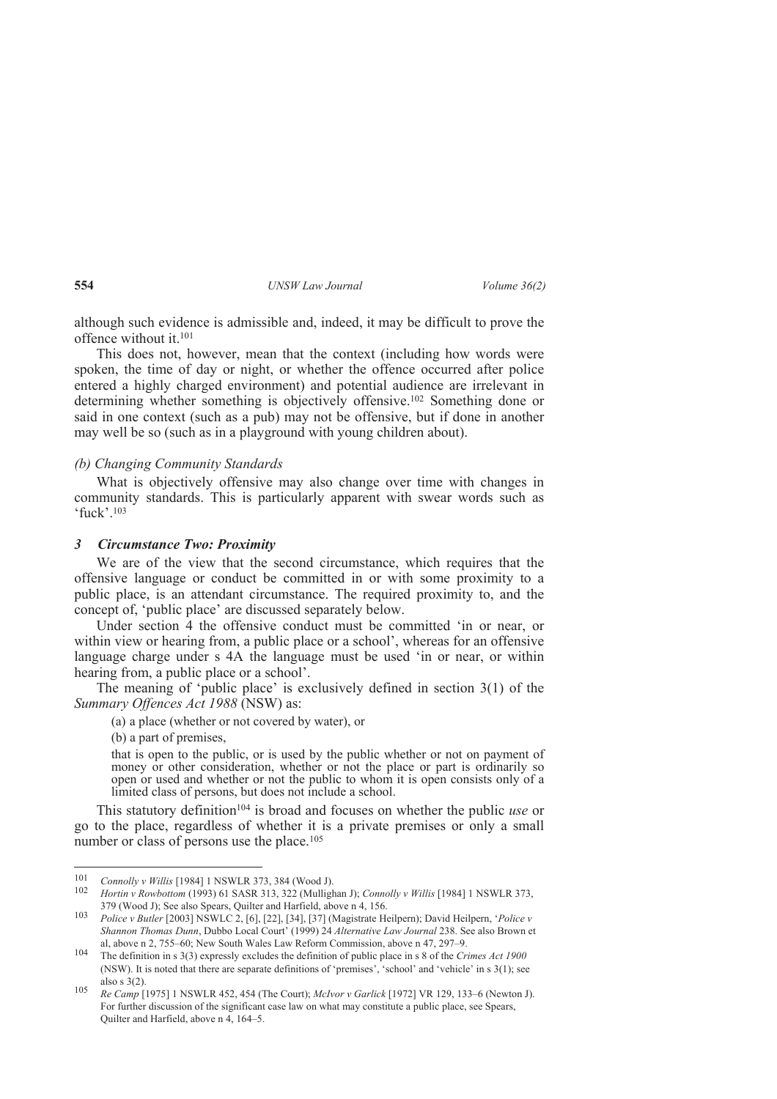although such evidence is admissible and, indeed, it may be difficult to prove the offence without it.<sup>101</sup>

This does not, however, mean that the context (including how words were spoken, the time of day or night, or whether the offence occurred after police entered a highly charged environment) and potential audience are irrelevant in determining whether something is objectively offensive.102 Something done or said in one context (such as a pub) may not be offensive, but if done in another may well be so (such as in a playground with young children about).

### *(b) Changing Community Standards*

What is objectively offensive may also change over time with changes in community standards. This is particularly apparent with swear words such as 'fuck'.<sup>103</sup>

#### *3 Circumstance Two: Proximity*

We are of the view that the second circumstance, which requires that the offensive language or conduct be committed in or with some proximity to a public place, is an attendant circumstance. The required proximity to, and the concept of, 'public place' are discussed separately below.

Under section 4 the offensive conduct must be committed 'in or near, or within view or hearing from, a public place or a school', whereas for an offensive language charge under s 4A the language must be used 'in or near, or within hearing from, a public place or a school'.

The meaning of 'public place' is exclusively defined in section 3(1) of the *Summary Offences Act 1988* (NSW) as:

(a) a place (whether or not covered by water), or

(b) a part of premises,

that is open to the public, or is used by the public whether or not on payment of money or other consideration, whether or not the place or part is ordinarily so open or used and whether or not the public to whom it is open consists only of a limited class of persons, but does not include a school.

This statutory definition104 is broad and focuses on whether the public *use* or go to the place, regardless of whether it is a private premises or only a small number or class of persons use the place.<sup>105</sup>

 $\frac{1}{101}$ *Connolly v Willis* [1984] 1 NSWLR 373, 384 (Wood J).

<sup>102</sup> *Hortin v Rowbottom* (1993) 61 SASR 313, 322 (Mullighan J); *Connolly v Willis* [1984] 1 NSWLR 373, 379 (Wood J); See also Spears, Quilter and Harfield, above n 4, 156.

<sup>103</sup> *Police v Butler* [2003] NSWLC 2, [6], [22], [34], [37] (Magistrate Heilpern); David Heilpern, '*Police v Shannon Thomas Dunn*, Dubbo Local Court' (1999) 24 *Alternative Law Journal* 238. See also Brown et al, above n 2, 755–60; New South Wales Law Reform Commission, above n 47, 297–9.

<sup>104</sup> The definition in s 3(3) expressly excludes the definition of public place in s 8 of the *Crimes Act 1900* (NSW). It is noted that there are separate definitions of 'premises', 'school' and 'vehicle' in s 3(1); see also s 3(2).

<sup>105</sup> *Re Camp* [1975] 1 NSWLR 452, 454 (The Court); *McIvor v Garlick* [1972] VR 129, 133–6 (Newton J). For further discussion of the significant case law on what may constitute a public place, see Spears, Quilter and Harfield, above n 4, 164–5.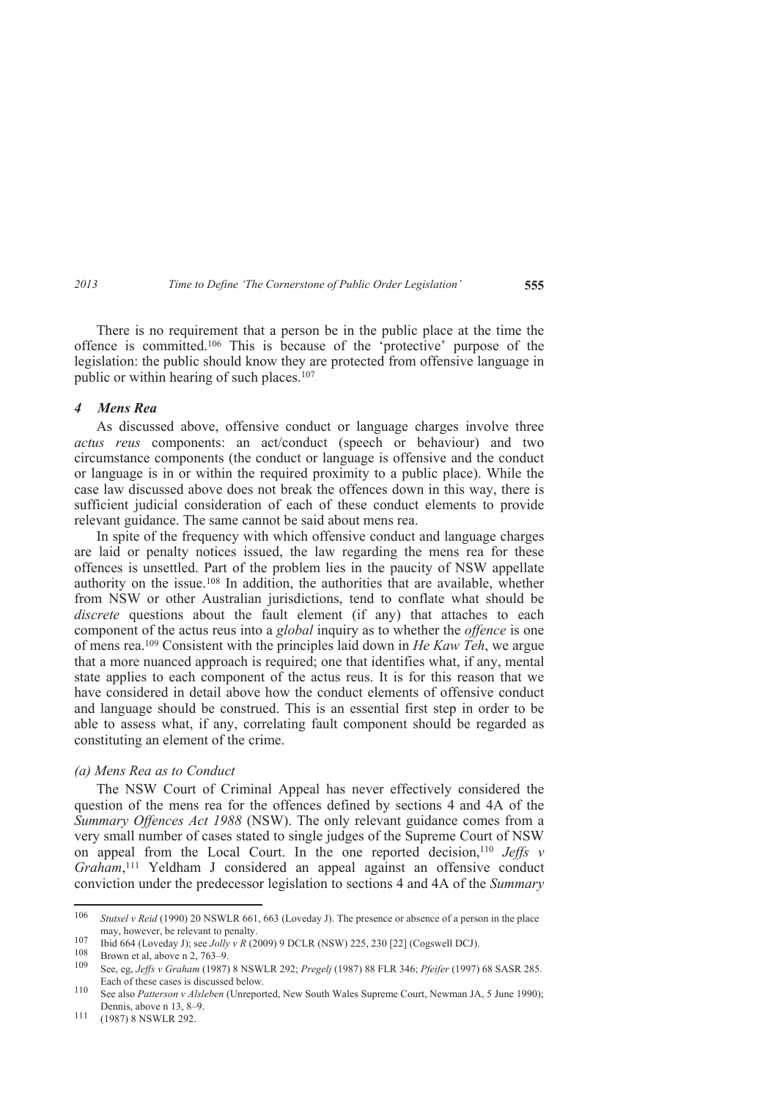There is no requirement that a person be in the public place at the time the offence is committed.106 This is because of the 'protective' purpose of the legislation: the public should know they are protected from offensive language in public or within hearing of such places.<sup>107</sup>

#### *4 Mens Rea*

As discussed above, offensive conduct or language charges involve three *actus reus* components: an act/conduct (speech or behaviour) and two circumstance components (the conduct or language is offensive and the conduct or language is in or within the required proximity to a public place). While the case law discussed above does not break the offences down in this way, there is sufficient judicial consideration of each of these conduct elements to provide relevant guidance. The same cannot be said about mens rea.

In spite of the frequency with which offensive conduct and language charges are laid or penalty notices issued, the law regarding the mens rea for these offences is unsettled. Part of the problem lies in the paucity of NSW appellate authority on the issue.108 In addition, the authorities that are available, whether from NSW or other Australian jurisdictions, tend to conflate what should be discrete questions about the fault element (if any) that attaches to each component of the actus reus into a *global* inquiry as to whether the *offence* is one of mens rea.109 Consistent with the principles laid down in *He Kaw Teh*, we argue that a more nuanced approach is required; one that identifies what, if any, mental state applies to each component of the actus reus. It is for this reason that we have considered in detail above how the conduct elements of offensive conduct and language should be construed. This is an essential first step in order to be able to assess what, if any, correlating fault component should be regarded as constituting an element of the crime.

#### *(a) Mens Rea as to Conduct*

The NSW Court of Criminal Appeal has never effectively considered the question of the mens rea for the offences defined by sections 4 and 4A of the *Summary Offences Act 1988* (NSW). The only relevant guidance comes from a very small number of cases stated to single judges of the Supreme Court of NSW on appeal from the Local Court. In the one reported decision,<sup>110</sup> *Jeffs v Graham*, <sup>111</sup> Yeldham J considered an appeal against an offensive conduct conviction under the predecessor legislation to sections 4 and 4A of the *Summary* 

 $\frac{106}{106}$  *Stutsel v Reid* (1990) 20 NSWLR 661, 663 (Loveday J). The presence or absence of a person in the place may, however, be relevant to penalty.

<sup>107</sup> Ibid 664 (Loveday J); see *Jolly v R* (2009) 9 DCLR (NSW) 225, 230 [22] (Cogswell DCJ).

 $\frac{108}{109}$  Brown et al, above n 2, 763–9.

<sup>109</sup> See, eg, *Jeffs v Graham* (1987) 8 NSWLR 292; *Pregelj* (1987) 88 FLR 346; *Pfeifer* (1997) 68 SASR 285. Each of these cases is discussed below.

<sup>110</sup> See also *Patterson v Alsleben* (Unreported, New South Wales Supreme Court, Newman JA, 5 June 1990); Dennis, above n 13, 8–9.

<sup>111</sup> (1987) 8 NSWLR 292.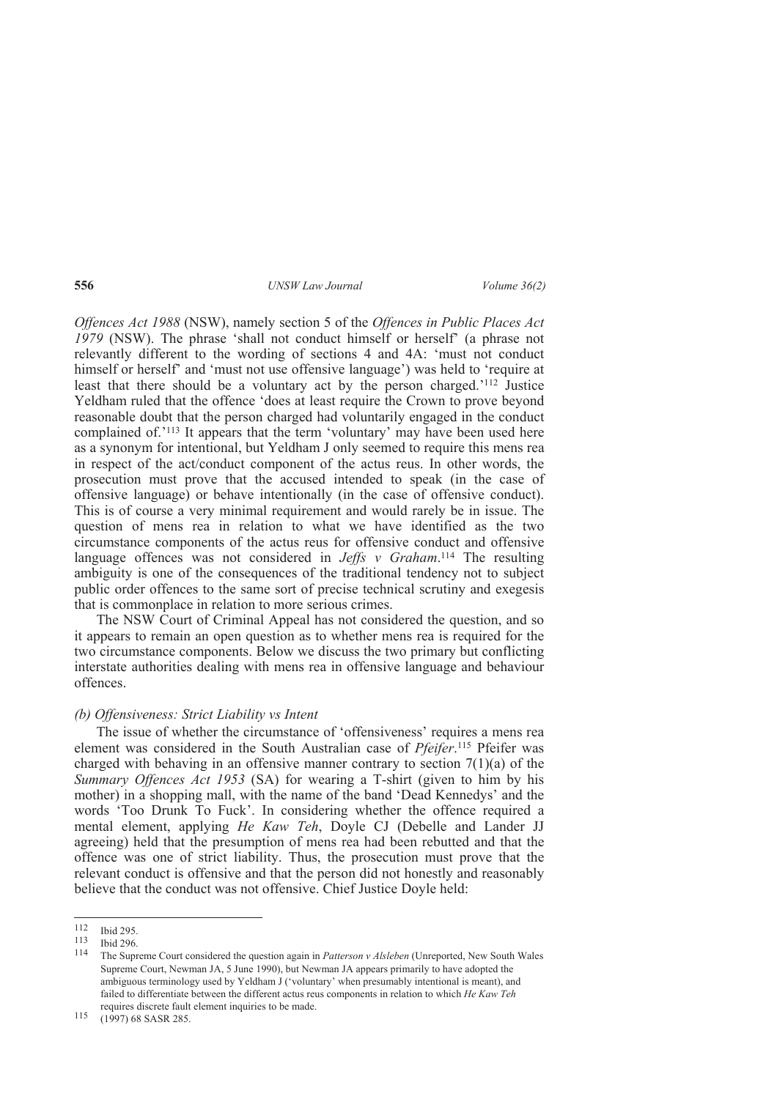*Offences Act 1988* (NSW), namely section 5 of the *Offences in Public Places Act 1979* (NSW). The phrase 'shall not conduct himself or herself' (a phrase not relevantly different to the wording of sections 4 and 4A: 'must not conduct himself or herself' and 'must not use offensive language') was held to 'require at least that there should be a voluntary act by the person charged.'112 Justice Yeldham ruled that the offence 'does at least require the Crown to prove beyond reasonable doubt that the person charged had voluntarily engaged in the conduct complained of.<sup>'113</sup> It appears that the term 'voluntary' may have been used here as a synonym for intentional, but Yeldham J only seemed to require this mens rea in respect of the act/conduct component of the actus reus. In other words, the prosecution must prove that the accused intended to speak (in the case of offensive language) or behave intentionally (in the case of offensive conduct). This is of course a very minimal requirement and would rarely be in issue. The question of mens rea in relation to what we have identified as the two circumstance components of the actus reus for offensive conduct and offensive language offences was not considered in *Jeffs v Graham*.<sup>114</sup> The resulting ambiguity is one of the consequences of the traditional tendency not to subject public order offences to the same sort of precise technical scrutiny and exegesis that is commonplace in relation to more serious crimes.

The NSW Court of Criminal Appeal has not considered the question, and so it appears to remain an open question as to whether mens rea is required for the two circumstance components. Below we discuss the two primary but conflicting interstate authorities dealing with mens rea in offensive language and behaviour offences.

#### *(b) Offensiveness: Strict Liability vs Intent*

The issue of whether the circumstance of 'offensiveness' requires a mens rea element was considered in the South Australian case of *Pfeifer*. <sup>115</sup> Pfeifer was charged with behaving in an offensive manner contrary to section  $7(1)(a)$  of the *Summary Offences Act 1953* (SA) for wearing a T-shirt (given to him by his mother) in a shopping mall, with the name of the band 'Dead Kennedys' and the words 'Too Drunk To Fuck'. In considering whether the offence required a mental element, applying *He Kaw Teh*, Doyle CJ (Debelle and Lander JJ agreeing) held that the presumption of mens rea had been rebutted and that the offence was one of strict liability. Thus, the prosecution must prove that the relevant conduct is offensive and that the person did not honestly and reasonably believe that the conduct was not offensive. Chief Justice Doyle held:

<sup>112</sup>  $\frac{112}{113}$  Ibid 295.

 $\frac{113}{114}$  Ibid 296.

<sup>114</sup> The Supreme Court considered the question again in *Patterson v Alsleben* (Unreported, New South Wales Supreme Court, Newman JA, 5 June 1990), but Newman JA appears primarily to have adopted the ambiguous terminology used by Yeldham J ('voluntary' when presumably intentional is meant), and failed to differentiate between the different actus reus components in relation to which *He Kaw Teh*  requires discrete fault element inquiries to be made.

<sup>115</sup> (1997) 68 SASR 285.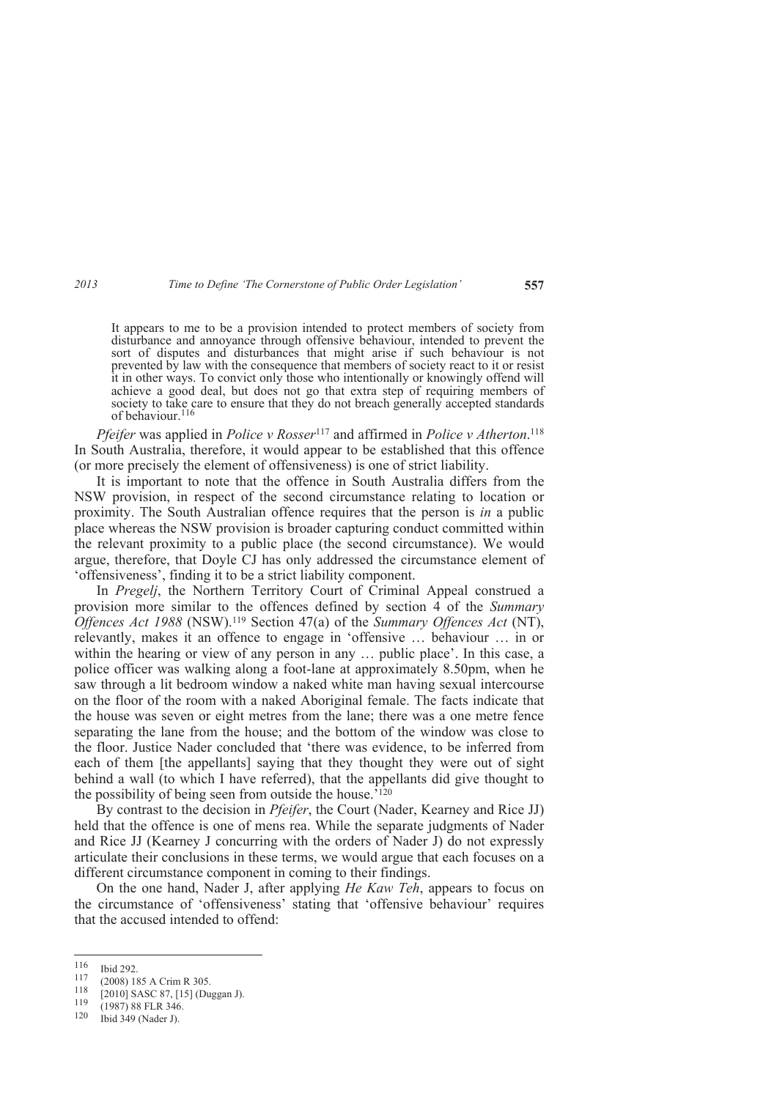It appears to me to be a provision intended to protect members of society from disturbance and annoyance through offensive behaviour, intended to prevent the sort of disputes and disturbances that might arise if such behaviour is not prevented by law with the consequence that members of society react to it or resist it in other ways. To convict only those who intentionally or knowingly offend will achieve a good deal, but does not go that extra step of requiring members of society to take care to ensure that they do not breach generally accepted standards of behaviour.<sup>116</sup>

*Pfeifer* was applied in *Police v Rosser*<sup>117</sup> and affirmed in *Police v Atherton*. 118 In South Australia, therefore, it would appear to be established that this offence (or more precisely the element of offensiveness) is one of strict liability.

It is important to note that the offence in South Australia differs from the NSW provision, in respect of the second circumstance relating to location or proximity. The South Australian offence requires that the person is *in* a public place whereas the NSW provision is broader capturing conduct committed within the relevant proximity to a public place (the second circumstance). We would argue, therefore, that Doyle CJ has only addressed the circumstance element of 'offensiveness', finding it to be a strict liability component.

In *Pregelj*, the Northern Territory Court of Criminal Appeal construed a provision more similar to the offences defined by section 4 of the *Summary Offences Act 1988* (NSW).119 Section 47(a) of the *Summary Offences Act* (NT), relevantly, makes it an offence to engage in 'offensive … behaviour … in or within the hearing or view of any person in any ... public place'. In this case, a police officer was walking along a foot-lane at approximately 8.50pm, when he saw through a lit bedroom window a naked white man having sexual intercourse on the floor of the room with a naked Aboriginal female. The facts indicate that the house was seven or eight metres from the lane; there was a one metre fence separating the lane from the house; and the bottom of the window was close to the floor. Justice Nader concluded that 'there was evidence, to be inferred from each of them [the appellants] saying that they thought they were out of sight behind a wall (to which I have referred), that the appellants did give thought to the possibility of being seen from outside the house.'<sup>120</sup>

By contrast to the decision in *Pfeifer*, the Court (Nader, Kearney and Rice JJ) held that the offence is one of mens rea. While the separate judgments of Nader and Rice JJ (Kearney J concurring with the orders of Nader J) do not expressly articulate their conclusions in these terms, we would argue that each focuses on a different circumstance component in coming to their findings.

On the one hand, Nader J, after applying *He Kaw Teh*, appears to focus on the circumstance of 'offensiveness' stating that 'offensive behaviour' requires that the accused intended to offend:

<sup>116</sup>  $\frac{116}{117}$  Ibid 292.

 $\frac{117}{118}$  (2008) 185 A Crim R 305.

<sup>&</sup>lt;sup>118</sup> [2010] SASC 87, [15] (Duggan J).<br>119 (1987) 88 ELP 346

 $\frac{119}{120}$  (1987) 88 FLR 346.<br>120 Ibid 349 (Nader I)

Ibid 349 (Nader J).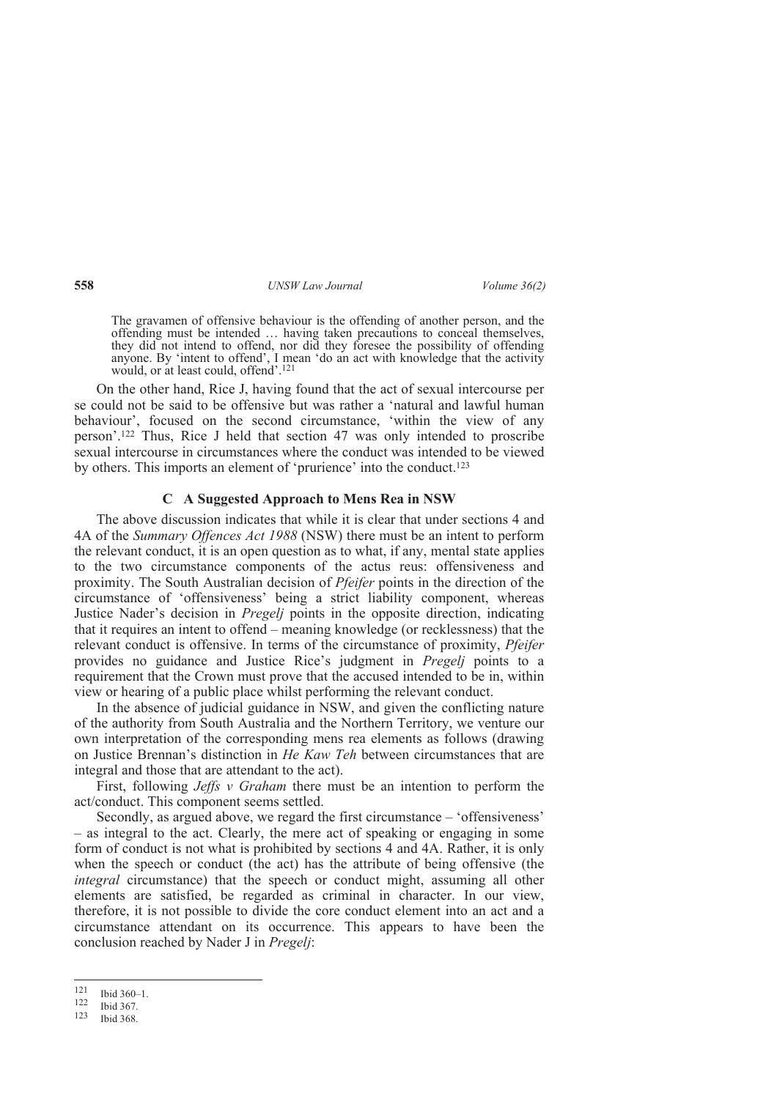The gravamen of offensive behaviour is the offending of another person, and the offending must be intended … having taken precautions to conceal themselves, they did not intend to offend, nor did they foresee the possibility of offending anyone. By 'intent to offend', I mean 'do an act with knowledge that the activity would, or at least could, offend'.<sup>121</sup>

On the other hand, Rice J, having found that the act of sexual intercourse per se could not be said to be offensive but was rather a 'natural and lawful human behaviour', focused on the second circumstance, 'within the view of any person'.122 Thus, Rice J held that section 47 was only intended to proscribe sexual intercourse in circumstances where the conduct was intended to be viewed by others. This imports an element of 'prurience' into the conduct.<sup>123</sup>

#### **C A Suggested Approach to Mens Rea in NSW**

The above discussion indicates that while it is clear that under sections 4 and 4A of the *Summary Offences Act 1988* (NSW) there must be an intent to perform the relevant conduct, it is an open question as to what, if any, mental state applies to the two circumstance components of the actus reus: offensiveness and proximity. The South Australian decision of *Pfeifer* points in the direction of the circumstance of 'offensiveness' being a strict liability component, whereas Justice Nader's decision in *Pregelj* points in the opposite direction, indicating that it requires an intent to offend – meaning knowledge (or recklessness) that the relevant conduct is offensive. In terms of the circumstance of proximity, *Pfeifer* provides no guidance and Justice Rice's judgment in *Pregelj* points to a requirement that the Crown must prove that the accused intended to be in, within view or hearing of a public place whilst performing the relevant conduct.

In the absence of judicial guidance in NSW, and given the conflicting nature of the authority from South Australia and the Northern Territory, we venture our own interpretation of the corresponding mens rea elements as follows (drawing on Justice Brennan's distinction in *He Kaw Teh* between circumstances that are integral and those that are attendant to the act).

First, following *Jeffs v Graham* there must be an intention to perform the act/conduct. This component seems settled.

Secondly, as argued above, we regard the first circumstance – 'offensiveness' – as integral to the act. Clearly, the mere act of speaking or engaging in some form of conduct is not what is prohibited by sections 4 and 4A. Rather, it is only when the speech or conduct (the act) has the attribute of being offensive (the *integral* circumstance) that the speech or conduct might, assuming all other elements are satisfied, be regarded as criminal in character. In our view, therefore, it is not possible to divide the core conduct element into an act and a circumstance attendant on its occurrence. This appears to have been the conclusion reached by Nader J in *Pregelj*:

<sup>121</sup>  $\frac{121}{122}$  Ibid 360–1.

 $\frac{122}{123}$  Ibid 367.

Ibid 368.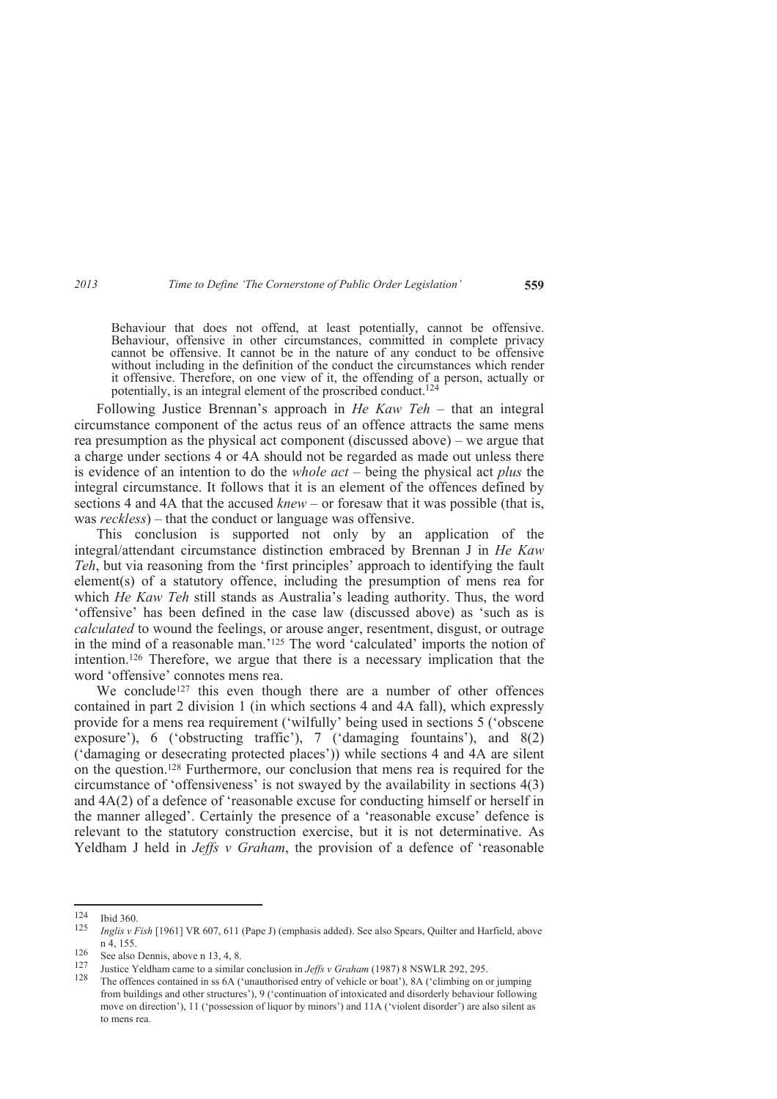Behaviour that does not offend, at least potentially, cannot be offensive. Behaviour, offensive in other circumstances, committed in complete privacy cannot be offensive. It cannot be in the nature of any conduct to be offensive without including in the definition of the conduct the circumstances which render it offensive. Therefore, on one view of it, the offending of a person, actually or potentially, is an integral element of the proscribed conduct.<sup>124</sup>

Following Justice Brennan's approach in *He Kaw Teh* – that an integral circumstance component of the actus reus of an offence attracts the same mens rea presumption as the physical act component (discussed above) – we argue that a charge under sections 4 or 4A should not be regarded as made out unless there is evidence of an intention to do the *whole act* – being the physical act *plus* the integral circumstance. It follows that it is an element of the offences defined by sections 4 and 4A that the accused *knew* – or foresaw that it was possible (that is, was *reckless*) – that the conduct or language was offensive.

This conclusion is supported not only by an application of the integral/attendant circumstance distinction embraced by Brennan J in *He Kaw Teh*, but via reasoning from the 'first principles' approach to identifying the fault element(s) of a statutory offence, including the presumption of mens rea for which *He Kaw Teh* still stands as Australia's leading authority. Thus, the word 'offensive' has been defined in the case law (discussed above) as 'such as is *calculated* to wound the feelings, or arouse anger, resentment, disgust, or outrage in the mind of a reasonable man.'125 The word 'calculated' imports the notion of intention.126 Therefore, we argue that there is a necessary implication that the word 'offensive' connotes mens rea.

We conclude<sup>127</sup> this even though there are a number of other offences contained in part 2 division 1 (in which sections 4 and 4A fall), which expressly provide for a mens rea requirement ('wilfully' being used in sections 5 ('obscene exposure'), 6 ('obstructing traffic'), 7 ('damaging fountains'), and 8(2) ('damaging or desecrating protected places')) while sections 4 and 4A are silent on the question.128 Furthermore, our conclusion that mens rea is required for the circumstance of 'offensiveness' is not swayed by the availability in sections 4(3) and 4A(2) of a defence of 'reasonable excuse for conducting himself or herself in the manner alleged'. Certainly the presence of a 'reasonable excuse' defence is relevant to the statutory construction exercise, but it is not determinative. As Yeldham J held in *Jeffs v Graham*, the provision of a defence of 'reasonable

<sup>124</sup> <sup>124</sup> Ibid 360.

<sup>125</sup> *Inglis v Fish* [1961] VR 607, 611 (Pape J) (emphasis added). See also Spears, Quilter and Harfield, above n 4, 155.

 $\frac{126}{127}$  See also Dennis, above n 13, 4, 8.

<sup>127</sup> Justice Yeldham came to a similar conclusion in *Jeffs v Graham* (1987) 8 NSWLR 292, 295.

<sup>128</sup> The offences contained in ss 6A ('unauthorised entry of vehicle or boat'), 8A ('climbing on or jumping from buildings and other structures'), 9 ('continuation of intoxicated and disorderly behaviour following move on direction'), 11 ('possession of liquor by minors') and 11A ('violent disorder') are also silent as to mens rea*.*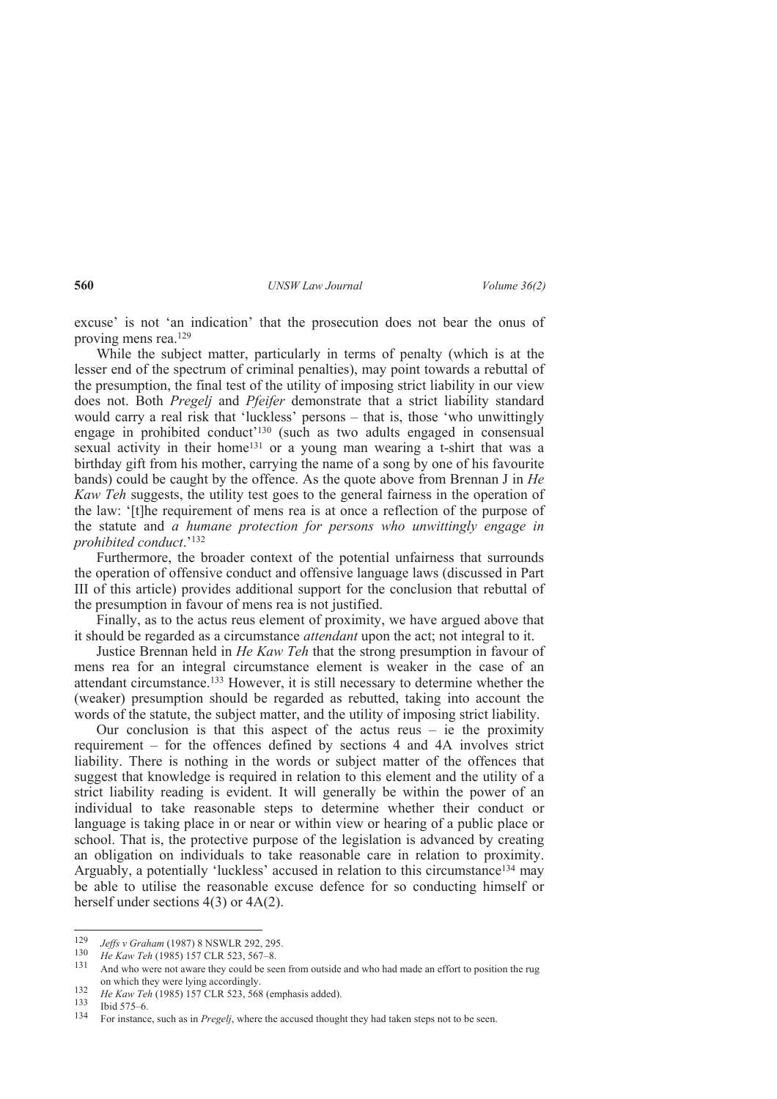excuse' is not 'an indication' that the prosecution does not bear the onus of proving mens rea.<sup>129</sup>

While the subject matter, particularly in terms of penalty (which is at the lesser end of the spectrum of criminal penalties), may point towards a rebuttal of the presumption, the final test of the utility of imposing strict liability in our view does not. Both *Pregelj* and *Pfeifer* demonstrate that a strict liability standard would carry a real risk that 'luckless' persons – that is, those 'who unwittingly engage in prohibited conduct'130 (such as two adults engaged in consensual sexual activity in their home131 or a young man wearing a t-shirt that was a birthday gift from his mother, carrying the name of a song by one of his favourite bands) could be caught by the offence. As the quote above from Brennan J in *He Kaw Teh* suggests, the utility test goes to the general fairness in the operation of the law: '[t]he requirement of mens rea is at once a reflection of the purpose of the statute and *a humane protection for persons who unwittingly engage in prohibited conduct*.'<sup>132</sup>

Furthermore, the broader context of the potential unfairness that surrounds the operation of offensive conduct and offensive language laws (discussed in Part III of this article) provides additional support for the conclusion that rebuttal of the presumption in favour of mens rea is not justified.

Finally, as to the actus reus element of proximity, we have argued above that it should be regarded as a circumstance *attendant* upon the act; not integral to it.

Justice Brennan held in *He Kaw Teh* that the strong presumption in favour of mens rea for an integral circumstance element is weaker in the case of an attendant circumstance.133 However, it is still necessary to determine whether the (weaker) presumption should be regarded as rebutted, taking into account the words of the statute, the subject matter, and the utility of imposing strict liability.

Our conclusion is that this aspect of the actus reus  $-$  ie the proximity requirement – for the offences defined by sections 4 and 4A involves strict liability. There is nothing in the words or subject matter of the offences that suggest that knowledge is required in relation to this element and the utility of a strict liability reading is evident. It will generally be within the power of an individual to take reasonable steps to determine whether their conduct or language is taking place in or near or within view or hearing of a public place or school. That is, the protective purpose of the legislation is advanced by creating an obligation on individuals to take reasonable care in relation to proximity. Arguably, a potentially 'luckless' accused in relation to this circumstance134 may be able to utilise the reasonable excuse defence for so conducting himself or herself under sections 4(3) or 4A(2).

 $\frac{1}{129}$ *Jeffs v Graham* (1987) 8 NSWLR 292, 295.

<sup>130</sup> <sup>150</sup> He Kaw Teh (1985) 157 CLR 523, 567–8.<br><sup>131</sup> And who were not swere they sould be see

And who were not aware they could be seen from outside and who had made an effort to position the rug on which they were lying accordingly.

<sup>132</sup> <sup>132</sup> *He Kaw Teh* (1985) 157 CLR 523, 568 (emphasis added).<br><sup>133</sup> Ibid 575.6

 $\frac{133}{134}$  Ibid 575–6.

<sup>134</sup> For instance, such as in *Pregelj*, where the accused thought they had taken steps not to be seen.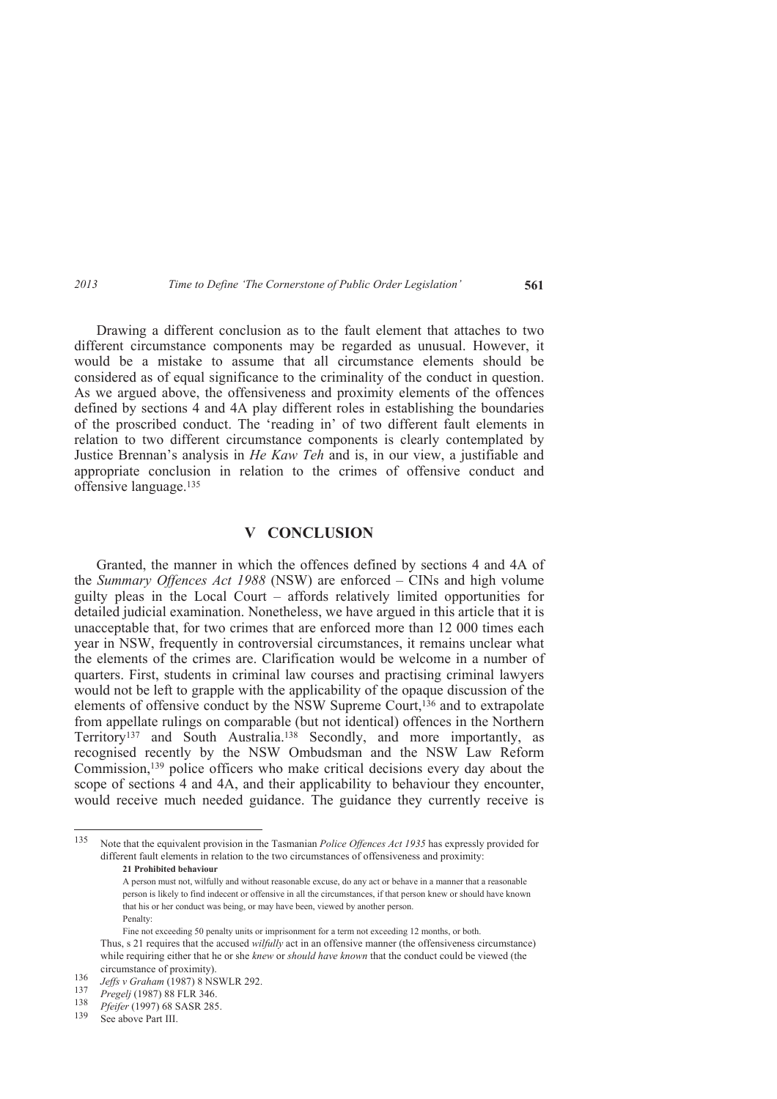Drawing a different conclusion as to the fault element that attaches to two different circumstance components may be regarded as unusual. However, it would be a mistake to assume that all circumstance elements should be considered as of equal significance to the criminality of the conduct in question. As we argued above, the offensiveness and proximity elements of the offences defined by sections 4 and 4A play different roles in establishing the boundaries of the proscribed conduct. The 'reading in' of two different fault elements in relation to two different circumstance components is clearly contemplated by Justice Brennan's analysis in *He Kaw Teh* and is, in our view, a justifiable and appropriate conclusion in relation to the crimes of offensive conduct and offensive language.<sup>135</sup>

## **V CONCLUSION**

Granted, the manner in which the offences defined by sections 4 and 4A of the *Summary Offences Act 1988* (NSW) are enforced – CINs and high volume guilty pleas in the Local Court – affords relatively limited opportunities for detailed judicial examination. Nonetheless, we have argued in this article that it is unacceptable that, for two crimes that are enforced more than 12 000 times each year in NSW, frequently in controversial circumstances, it remains unclear what the elements of the crimes are. Clarification would be welcome in a number of quarters. First, students in criminal law courses and practising criminal lawyers would not be left to grapple with the applicability of the opaque discussion of the elements of offensive conduct by the NSW Supreme Court,136 and to extrapolate from appellate rulings on comparable (but not identical) offences in the Northern Territory137 and South Australia.138 Secondly, and more importantly, as recognised recently by the NSW Ombudsman and the NSW Law Reform Commission,139 police officers who make critical decisions every day about the scope of sections 4 and 4A, and their applicability to behaviour they encounter, would receive much needed guidance. The guidance they currently receive is

<sup>135</sup> Note that the equivalent provision in the Tasmanian *Police Offences Act 1935* has expressly provided for different fault elements in relation to the two circumstances of offensiveness and proximity:

 **<sup>21</sup> Prohibited behaviour**

A person must not, wilfully and without reasonable excuse, do any act or behave in a manner that a reasonable person is likely to find indecent or offensive in all the circumstances, if that person knew or should have known that his or her conduct was being, or may have been, viewed by another person. Penalty:

Fine not exceeding 50 penalty units or imprisonment for a term not exceeding 12 months, or both. Thus, s 21 requires that the accused *wilfully* act in an offensive manner (the offensiveness circumstance) while requiring either that he or she *knew* or *should have known* that the conduct could be viewed (the circumstance of proximity).

<sup>136</sup> *Jeffs v Graham* (1987) 8 NSWLR 292.

<sup>137</sup> *Pregelj* (1987) 88 FLR 346.

<sup>138</sup> <sup>138</sup> *Pfeifer* (1997) 68 SASR 285.

See above Part III.